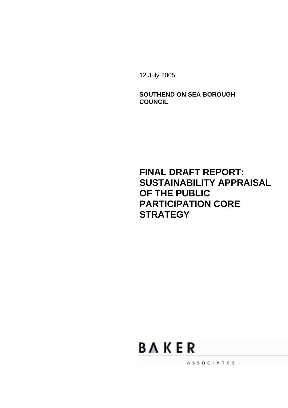12 July 2005

**SOUTHEND ON SEA BOROUGH COUNCIL**

**FINAL DRAFT REPORT: SUSTAINABILITY APPRAISAL OF THE PUBLIC PARTICIPATION CORE STRATEGY**



ASSOCIATES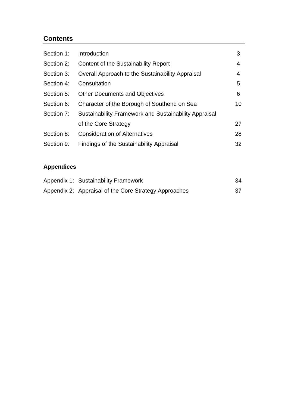## **Contents**

| Section 1: | Introduction                                          | 3  |
|------------|-------------------------------------------------------|----|
| Section 2: | Content of the Sustainability Report                  | 4  |
| Section 3: | Overall Approach to the Sustainability Appraisal      | 4  |
| Section 4: | Consultation                                          | 5  |
| Section 5: | <b>Other Documents and Objectives</b>                 | 6  |
| Section 6: | Character of the Borough of Southend on Sea           | 10 |
| Section 7: | Sustainability Framework and Sustainability Appraisal |    |
|            | of the Core Strategy                                  | 27 |
| Section 8: | <b>Consideration of Alternatives</b>                  | 28 |
| Section 9: | <b>Findings of the Sustainability Appraisal</b>       | 32 |

## **Appendices**

| Appendix 1: Sustainability Framework                  | 34 |
|-------------------------------------------------------|----|
| Appendix 2: Appraisal of the Core Strategy Approaches |    |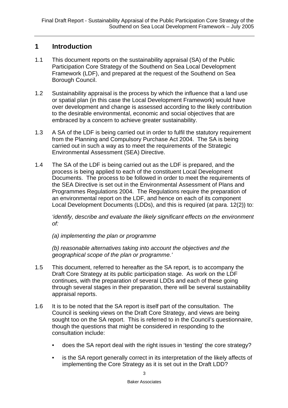### **1 Introduction**

- 1.1 This document reports on the sustainability appraisal (SA) of the Public Participation Core Strategy of the Southend on Sea Local Development Framework (LDF), and prepared at the request of the Southend on Sea Borough Council.
- 1.2 Sustainability appraisal is the process by which the influence that a land use or spatial plan (in this case the Local Development Framework) would have over development and change is assessed according to the likely contribution to the desirable environmental, economic and social objectives that are embraced by a concern to achieve greater sustainability.
- 1.3 A SA of the LDF is being carried out in order to fulfil the statutory requirement from the Planning and Compulsory Purchase Act 2004. The SA is being carried out in such a way as to meet the requirements of the Strategic Environmental Assessment (SEA) Directive.
- 1.4 The SA of the LDF is being carried out as the LDF is prepared, and the process is being applied to each of the constituent Local Development Documents. The process to be followed in order to meet the requirements of the SEA Directive is set out in the Environmental Assessment of Plans and Programmes Regulations 2004. The Regulations require the preparation of an environmental report on the LDF, and hence on each of its component Local Development Documents (LDDs), and this is required (at para. 12(2)) to:

*'identify, describe and evaluate the likely significant effects on the environment of:*

*(a) implementing the plan or programme*

*(b) reasonable alternatives taking into account the objectives and the geographical scope of the plan or programme.'*

- 1.5 This document, referred to hereafter as the SA report, is to accompany the Draft Core Strategy at its public participation stage. As work on the LDF continues, with the preparation of several LDDs and each of these going through several stages in their preparation, there will be several sustainability appraisal reports.
- 1.6 It is to be noted that the SA report is itself part of the consultation. The Council is seeking views on the Draft Core Strategy, and views are being sought too on the SA report. This is referred to in the Council's questionnaire, though the questions that might be considered in responding to the consultation include:
	- does the SA report deal with the right issues in 'testing' the core strategy?
	- is the SA report generally correct in its interpretation of the likely affects of implementing the Core Strategy as it is set out in the Draft LDD?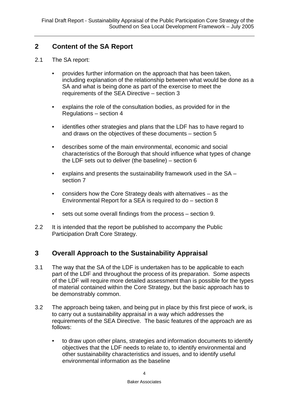## **2 Content of the SA Report**

- 2.1 The SA report:
	- provides further information on the approach that has been taken, including explanation of the relationship between what would be done as a SA and what is being done as part of the exercise to meet the requirements of the SEA Directive – section 3
	- explains the role of the consultation bodies, as provided for in the Regulations – section 4
	- identifies other strategies and plans that the LDF has to have regard to and draws on the objectives of these documents – section 5
	- describes some of the main environmental, economic and social characteristics of the Borough that should influence what types of change the LDF sets out to deliver (the baseline) – section 6
	- explains and presents the sustainability framework used in the SA section 7
	- considers how the Core Strategy deals with alternatives as the Environmental Report for a SEA is required to do – section 8
	- sets out some overall findings from the process section 9.
- 2.2 It is intended that the report be published to accompany the Public Participation Draft Core Strategy.

## **3 Overall Approach to the Sustainability Appraisal**

- 3.1 The way that the SA of the LDF is undertaken has to be applicable to each part of the LDF and throughout the process of its preparation. Some aspects of the LDF will require more detailed assessment than is possible for the types of material contained within the Core Strategy, but the basic approach has to be demonstrably common.
- 3.2 The approach being taken, and being put in place by this first piece of work, is to carry out a sustainability appraisal in a way which addresses the requirements of the SEA Directive. The basic features of the approach are as follows:
	- to draw upon other plans, strategies and information documents to identify objectives that the LDF needs to relate to, to identify environmental and other sustainability characteristics and issues, and to identify useful environmental information as the baseline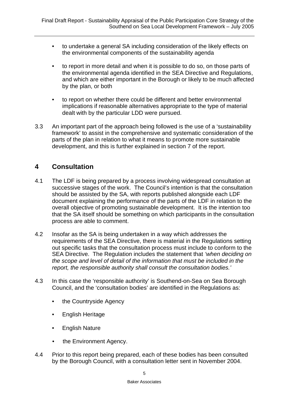- to undertake a general SA including consideration of the likely effects on the environmental components of the sustainability agenda
- to report in more detail and when it is possible to do so, on those parts of the environmental agenda identified in the SEA Directive and Regulations, and which are either important in the Borough or likely to be much affected by the plan, or both
- to report on whether there could be different and better environmental implications if reasonable alternatives appropriate to the type of material dealt with by the particular LDD were pursued.
- 3.3 An important part of the approach being followed is the use of a 'sustainability framework' to assist in the comprehensive and systematic consideration of the parts of the plan in relation to what it means to promote more sustainable development, and this is further explained in section 7 of the report.

## **4 Consultation**

- 4.1 The LDF is being prepared by a process involving widespread consultation at successive stages of the work. The Council's intention is that the consultation should be assisted by the SA, with reports published alongside each LDF document explaining the performance of the parts of the LDF in relation to the overall objective of promoting sustainable development. It is the intention too that the SA itself should be something on which participants in the consultation process are able to comment.
- 4.2 Insofar as the SA is being undertaken in a way which addresses the requirements of the SEA Directive, there is material in the Regulations setting out specific tasks that the consultation process must include to conform to the SEA Directive. The Regulation includes the statement that *'when deciding on the scope and level of detail of the information that must be included in the report, the responsible authority shall consult the consultation bodies.'*
- 4.3 In this case the 'responsible authority' is Southend-on-Sea on Sea Borough Council, and the 'consultation bodies' are identified in the Regulations as:
	- the Countryside Agency
	- English Heritage
	- English Nature
	- the Environment Agency.
- 4.4 Prior to this report being prepared, each of these bodies has been consulted by the Borough Council, with a consultation letter sent in November 2004.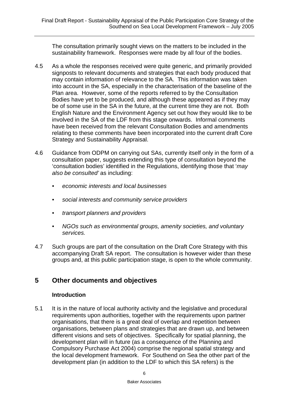The consultation primarily sought views on the matters to be included in the sustainability framework. Responses were made by all four of the bodies.

- 4.5 As a whole the responses received were quite generic, and primarily provided signposts to relevant documents and strategies that each body produced that may contain information of relevance to the SA. This information was taken into account in the SA, especially in the characterisation of the baseline of the Plan area. However, some of the reports referred to by the Consultation Bodies have yet to be produced, and although these appeared as if they may be of some use in the SA in the future, at the current time they are not. Both English Nature and the Environment Agency set out how they would like to be involved in the SA of the LDF from this stage onwards. Informal comments have been received from the relevant Consultation Bodies and amendments relating to these comments have been incorporated into the current draft Core Strategy and Sustainability Appraisal.
- 4.6 Guidance from ODPM on carrying out SAs, currently itself only in the form of a consultation paper, suggests extending this type of consultation beyond the 'consultation bodies' identified in the Regulations, identifying those that '*may also be consulted'* as including:
	- *• economic interests and local businesses*
	- *• social interests and community service providers*
	- *• transport planners and providers*
	- *• NGOs such as environmental groups, amenity societies, and voluntary services.*
- 4.7 Such groups are part of the consultation on the Draft Core Strategy with this accompanying Draft SA report. The consultation is however wider than these groups and, at this public participation stage, is open to the whole community.

## **5 Other documents and objectives**

#### **Introduction**

5.1 It is in the nature of local authority activity and the legislative and procedural requirements upon authorities, together with the requirements upon partner organisations, that there is a great deal of overlap and repetition between organisations, between plans and strategies that are drawn up, and between different visions and sets of objectives. Specifically for spatial planning, the development plan will in future (as a consequence of the Planning and Compulsory Purchase Act 2004) comprise the regional spatial strategy and the local development framework. For Southend on Sea the other part of the development plan (in addition to the LDF to which this SA refers) is the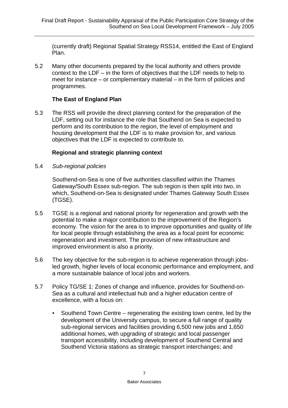(currently draft) Regional Spatial Strategy RSS14, entitled the East of England Plan.

5.2 Many other documents prepared by the local authority and others provide context to the LDF – in the form of objectives that the LDF needs to help to meet for instance – or complementary material – in the form of policies and programmes.

### **The East of England Plan**

5.3 The RSS will provide the direct planning context for the preparation of the LDF, setting out for instance the role that Southend on Sea is expected to perform and its contribution to the region, the level of employment and housing development that the LDF is to make provision for, and various objectives that the LDF is expected to contribute to.

#### **Regional and strategic planning context**

5.4 *Sub-regional policies*

Southend-on-Sea is one of five authorities classified within the Thames Gateway/South Essex sub-region. The sub region is then split into two, in which, Southend-on-Sea is designated under Thames Gateway South Essex (TGSE).

- 5.5 TGSE is a regional and national priority for regeneration and growth with the potential to make a major contribution to the improvement of the Region's economy. The vision for the area is to improve opportunities and quality of life for local people through establishing the area as a focal point for economic regeneration and investment. The provision of new infrastructure and improved environment is also a priority.
- 5.6 The key objective for the sub-region is to achieve regeneration through jobsled growth, higher levels of local economic performance and employment, and a more sustainable balance of local jobs and workers.
- 5.7 Policy TG/SE 1: Zones of change and influence, provides for Southend-on-Sea as a cultural and intellectual hub and a higher education centre of excellence, with a focus on:
	- *•* Southend Town Centre regenerating the existing town centre, led by the development of the University campus, to secure a full range of quality sub-regional services and facilities providing 6,500 new jobs and 1,650 additional homes, with upgrading of strategic and local passenger transport accessibility, including development of Southend Central and Southend Victoria stations as strategic transport interchanges; and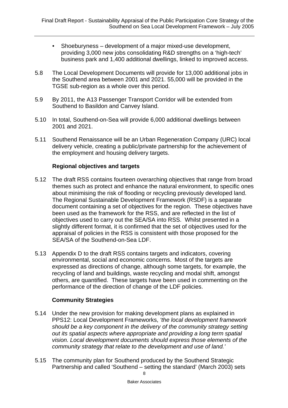- *•* Shoeburyness development of a major mixed-use development, providing 3,000 new jobs consolidating R&D strengths on a 'high-tech' business park and 1,400 additional dwellings, linked to improved access.
- 5.8 The Local Development Documents will provide for 13,000 additional jobs in the Southend area between 2001 and 2021. 55,000 will be provided in the TGSE sub-region as a whole over this period.
- 5.9 By 2011, the A13 Passenger Transport Corridor will be extended from Southend to Basildon and Canvey Island.
- 5.10 In total, Southend-on-Sea will provide 6,000 additional dwellings between 2001 and 2021.
- 5.11 Southend Renaissance will be an Urban Regeneration Company (URC) local delivery vehicle, creating a public/private partnership for the achievement of the employment and housing delivery targets.

#### **Regional objectives and targets**

- 5.12 The draft RSS contains fourteen overarching objectives that range from broad themes such as protect and enhance the natural environment, to specific ones about minimising the risk of flooding or recycling previously developed land. The Regional Sustainable Development Framework (RSDF) is a separate document containing a set of objectives for the region. These objectives have been used as the framework for the RSS, and are reflected in the list of objectives used to carry out the SEA/SA into RSS. Whilst presented in a slightly different format, it is confirmed that the set of objectives used for the appraisal of policies in the RSS is consistent with those proposed for the SEA/SA of the Southend-on-Sea LDF.
- 5.13 Appendix D to the draft RSS contains targets and indicators, covering environmental, social and economic concerns. Most of the targets are expressed as directions of change, although some targets, for example, the recycling of land and buildings, waste recycling and modal shift, amongst others, are quantified. These targets have been used in commenting on the performance of the direction of change of the LDF policies.

#### **Community Strategies**

- 5.14 Under the new provision for making development plans as explained in PPS12: Local Development Frameworks, *'the local development framework should be a key component in the delivery of the community strategy setting out its spatial aspects where appropriate and providing a long term spatial vision. Local development documents should express those elements of the community strategy that relate to the development and use of land.'*
- 8 5.15 The community plan for Southend produced by the Southend Strategic Partnership and called 'Southend – setting the standard' (March 2003) sets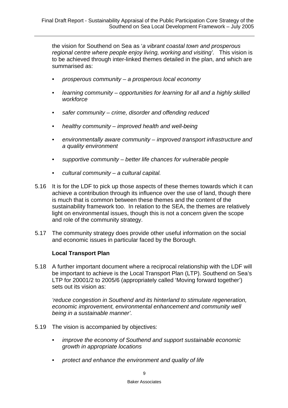the vision for Southend on Sea as '*a vibrant coastal town and prosperous regional centre where people enjoy living, working and visiting'*. This vision is to be achieved through inter-linked themes detailed in the plan, and which are summarised as:

- *• prosperous community a prosperous local economy*
- *• learning community opportunities for learning for all and a highly skilled workforce*
- *• safer community crime, disorder and offending reduced*
- *• healthy community improved health and well-being*
- *• environmentally aware community improved transport infrastructure and a quality environment*
- *• supportive community better life chances for vulnerable people*
- *• cultural community a cultural capital.*
- 5.16 It is for the LDF to pick up those aspects of these themes towards which it can achieve a contribution through its influence over the use of land, though there is much that is common between these themes and the content of the sustainability framework too. In relation to the SEA, the themes are relatively light on environmental issues, though this is not a concern given the scope and role of the community strategy.
- 5.17 The community strategy does provide other useful information on the social and economic issues in particular faced by the Borough.

#### **Local Transport Plan**

5.18 A further important document where a reciprocal relationship with the LDF will be important to achieve is the Local Transport Plan (LTP). Southend on Sea's LTP for 20001/2 to 2005/6 (appropriately called 'Moving forward together') sets out its vision as:

*'reduce congestion in Southend and its hinterland to stimulate regeneration, economic improvement, environmental enhancement and community well being in a sustainable manner'.*

- 5.19 The vision is accompanied by objectives:
	- *• improve the economy of Southend and support sustainable economic growth in appropriate locations*
	- *• protect and enhance the environment and quality of life*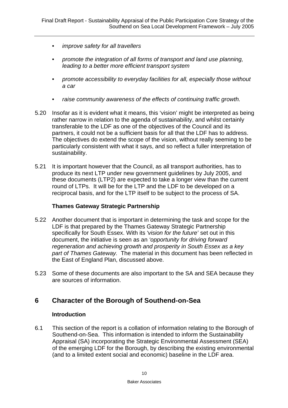- *• improve safety for all travellers*
- *• promote the integration of all forms of transport and land use planning, leading to a better more efficient transport system*
- *• promote accessibility to everyday facilities for all, especially those without a car*
- *• raise community awareness of the effects of continuing traffic growth.*
- 5.20 Insofar as it is evident what it means, this 'vision' might be interpreted as being rather narrow in relation to the agenda of sustainability, and whilst certainly transferable to the LDF as one of the objectives of the Council and its partners, it could not be a sufficient basis for all that the LDF has to address. The objectives do extend the scope of the vision, without really seeming to be particularly consistent with what it says, and so reflect a fuller interpretation of sustainability.
- 5.21 It is important however that the Council, as all transport authorities, has to produce its next LTP under new government guidelines by July 2005, and these documents (LTP2) are expected to take a longer view than the current round of LTPs. It will be for the LTP and the LDF to be developed on a reciprocal basis, and for the LTP itself to be subject to the process of SA.

#### **Thames Gateway Strategic Partnership**

- 5.22 Another document that is important in determining the task and scope for the LDF is that prepared by the Thames Gateway Strategic Partnership specifically for South Essex. With its '*vision for the future'* set out in this document, the initiative is seen as an *'opportunity for driving forward regeneration and achieving growth and prosperity in South Essex as a key part of Thames Gateway.* The material in this document has been reflected in the East of England Plan, discussed above.
- 5.23 Some of these documents are also important to the SA and SEA because they are sources of information.

## **6 Character of the Borough of Southend-on-Sea**

#### **Introduction**

6.1 This section of the report is a collation of information relating to the Borough of Southend-on-Sea. This information is intended to inform the Sustainability Appraisal (SA) incorporating the Strategic Environmental Assessment (SEA) of the emerging LDF for the Borough, by describing the existing environmental (and to a limited extent social and economic) baseline in the LDF area.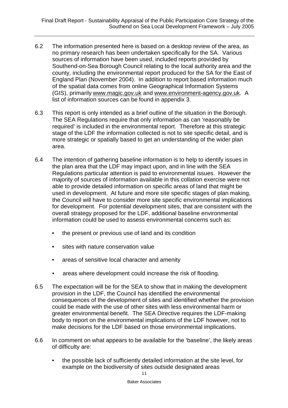- 6.2 The information presented here is based on a desktop review of the area, as no primary research has been undertaken specifically for the SA. Various sources of information have been used, included reports provided by Southend-on-Sea Borough Council relating to the local authority area and the county, including the environmental report produced for the SA for the East of England Plan (November 2004). In addition to report based information much of the spatial data comes from online Geographical Information Systems (GIS), primarily www.magic.gov.uk and www.environment-agency.gov.uk. A list of information sources can be found in appendix 3.
- 6.3 This report is only intended as a brief outline of the situation in the Borough. The SEA Regulations require that only information as can 'reasonably be required' is included in the environmental report. Therefore at this strategic stage of the LDF the information collected is not to site specific detail, and is more strategic or spatially based to get an understanding of the wider plan area.
- 6.4 The intention of gathering baseline information is to help to identify issues in the plan area that the LDF may impact upon, and in line with the SEA Regulations particular attention is paid to environmental issues. However the majority of sources of information available in this collation exercise were not able to provide detailed information on specific areas of land that might be used in development. At future and more site specific stages of plan making, the Council will have to consider more site specific environmental implications for development. For potential development sites, that are consistent with the overall strategy proposed for the LDF, additional baseline environmental information could be used to assess environmental concerns such as:
	- the present or previous use of land and its condition
	- sites with nature conservation value
	- areas of sensitive local character and amenity
	- areas where development could increase the risk of flooding.
- 6.5 The expectation will be for the SEA to show that in making the development provision in the LDF, the Council has identified the environmental consequences of the development of sites and identified whether the provision could be made with the use of other sites with less environmental harm or greater environmental benefit. The SEA Directive requires the LDF-making body to report on the environmental implications of the LDF however, not to make decisions for the LDF based on those environmental implications.
- 6.6 In comment on what appears to be available for the 'baseline', the likely areas of difficulty are:
	- the possible lack of sufficiently detailed information at the site level, for example on the biodiversity of sites outside designated areas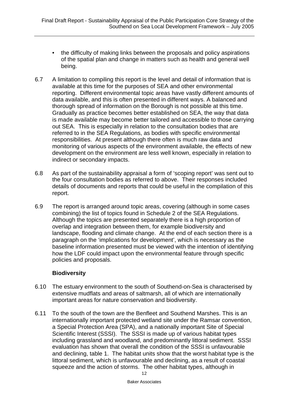- the difficulty of making links between the proposals and policy aspirations of the spatial plan and change in matters such as health and general well being.
- 6.7 A limitation to compiling this report is the level and detail of information that is available at this time for the purposes of SEA and other environmental reporting. Different environmental topic areas have vastly different amounts of data available, and this is often presented in different ways. A balanced and thorough spread of information on the Borough is not possible at this time. Gradually as practice becomes better established on SEA, the way that data is made available may become better tailored and accessible to those carrying out SEA. This is especially in relation to the consultation bodies that are referred to in the SEA Regulations, as bodies with specific environmental responsibilities. At present although there often is much raw data and monitoring of various aspects of the environment available, the effects of new development on the environment are less well known, especially in relation to indirect or secondary impacts.
- 6.8 As part of the sustainability appraisal a form of 'scoping report' was sent out to the four consultation bodies as referred to above. Their responses included details of documents and reports that could be useful in the compilation of this report.
- 6.9 The report is arranged around topic areas, covering (although in some cases combining) the list of topics found in Schedule 2 of the SEA Regulations. Although the topics are presented separately there is a high proportion of overlap and integration between them, for example biodiversity and landscape, flooding and climate change. At the end of each section there is a paragraph on the 'implications for development', which is necessary as the baseline information presented must be viewed with the intention of identifying how the LDF could impact upon the environmental feature through specific policies and proposals.

#### **Biodiversity**

- 6.10 The estuary environment to the south of Southend-on-Sea is characterised by extensive mudflats and areas of saltmarsh, all of which are internationally important areas for nature conservation and biodiversity.
- 6.11 To the south of the town are the Benfleet and Southend Marshes. This is an internationally important protected wetland site under the Ramsar convention, a Special Protection Area (SPA), and a nationally important Site of Special Scientific Interest (SSSI). The SSSI is made up of various habitat types including grassland and woodland, and predominantly littoral sediment. SSSI evaluation has shown that overall the condition of the SSSI is unfavourable and declining, table 1. The habitat units show that the worst habitat type is the littoral sediment, which is unfavourable and declining, as a result of coastal squeeze and the action of storms. The other habitat types, although in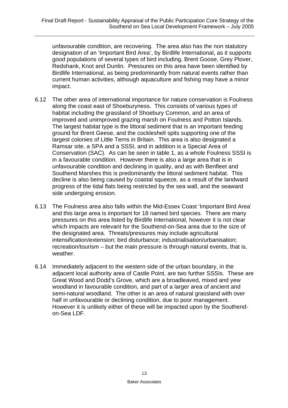unfavourable condition, are recovering. The area also has the non statutory designation of an 'Important Bird Area', by Birdlife International, as it supports good populations of several types of bird including, Brent Goose, Grey Plover, Redshank, Knot and Dunlin. Pressures on this area have been identified by Birdlife International, as being predominantly from natural events rather than current human activities, although aquaculture and fishing may have a minor impact.

- 6.12 The other area of international importance for nature conservation is Foulness along the coast east of Shoeburyness. This consists of various types of habitat including the grassland of Shoebury Common, and an area of improved and unimproved grazing marsh on Foulness and Potton Islands. The largest habitat type is the littoral sediment that is an important feeding ground for Brent Geese, and the cockleshell spits supporting one of the largest colonies of Little Terns in Britain. This area is also designated a Ramsar site, a SPA and a SSSI, and in addition is a Special Area of Conservation (SAC). As can be seen in table 1, as a whole Foulness SSSI is in a favourable condition. However there is also a large area that is in unfavourable condition and declining in quality, and as with Benfleet and Southend Marshes this is predominantly the littoral sediment habitat. This decline is also being caused by coastal squeeze, as a result of the landward progress of the tidal flats being restricted by the sea wall, and the seaward side undergoing erosion.
- 6.13 The Foulness area also falls within the Mid-Essex Coast 'Important Bird Area' and this large area is important for 18 named bird species. There are many pressures on this area listed by Birdlife International, however it is not clear which impacts are relevant for the Southend-on-Sea area due to the size of the designated area. Threats/pressures may include agricultural intensification/extension; bird disturbance; industrialisation/urbanisation; recreation/tourism – but the main pressure is through natural events, that is, weather.
- 6.14 Immediately adjacent to the western side of the urban boundary, in the adjacent local authority area of Castle Point, are two further SSSIs. These are Great Wood and Dodd's Grove, which are a broadleaved, mixed and yew woodland in favourable condition, and part of a larger area of ancient and semi-natural woodland. The other is an area of natural grassland with over half in unfavourable or declining condition, due to poor management. However it is unlikely either of these will be impacted upon by the Southendon-Sea LDF.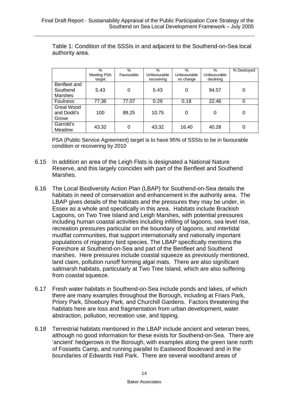|                                   | $\frac{0}{0}$ | $\%$       | $\%$         | $\%$         | $\%$         | % Destroyed |
|-----------------------------------|---------------|------------|--------------|--------------|--------------|-------------|
|                                   | Meeting PSA   | Favourable | Unfavourable | Unfavourable | Unfavourable |             |
|                                   | target        |            | recovering   | no change    | declining    |             |
| Benfleet and                      |               |            |              |              |              |             |
| Southend                          | 5.43          | 0          | 5.43         | 0            | 94.57        |             |
| <b>Marshes</b>                    |               |            |              |              |              |             |
| <b>Foulness</b>                   | 77.36         | 77.07      | 0.29         | 0.18         | 22.46        |             |
| Great Wood<br>and Dodd's<br>Grove | 100           | 89.25      | 10.75        | 0            | 0            | 0           |
| Garrold's<br>Meadow               | 43.32         | 0          | 43.32        | 16.40        | 40.28        |             |

Table 1: Condition of the SSSIs in and adjacent to the Southend-on-Sea local authority area.

PSA (Public Service Agreement) target is to have 95% of SSSIs to be in favourable condition or recovering by 2010

- 6.15 In addition an area of the Leigh Flats is designated a National Nature Reserve, and this largely coincides with part of the Benfleet and Southend Marshes.
- 6.16 The Local Biodiversity Action Plan (LBAP) for Southend-on-Sea details the habitats in need of conservation and enhancement in the authority area. The LBAP gives details of the habitats and the pressures they may be under, in Essex as a whole and specifically in this area. Habitats include Brackish Lagoons, on Two Tree Island and Leigh Marshes, with potential pressures including human coastal activities including infilling of lagoons, sea level rise, recreation pressures particular on the boundary of lagoons, and intertidal mudflat communities, that support internationally and nationally important populations of migratory bird species. The LBAP specifically mentions the Foreshore at Southend-on-Sea and part of the Benfleet and Southend marshes. Here pressures include coastal squeeze as previously mentioned, land claim, pollution runoff forming algal mats. There are also significant saltmarsh habitats, particularly at Two Tree Island, which are also suffering from coastal squeeze.
- 6.17 Fresh water habitats in Southend-on-Sea include ponds and lakes, of which there are many examples throughout the Borough, including at Friars Park, Priory Park, Shoebury Park, and Churchill Gardens. Factors threatening the habitats here are loss and fragmentation from urban development, water abstraction, pollution, recreation use, and tipping.
- 6.18 Terrestrial habitats mentioned in the LBAP include ancient and veteran trees, although no good information for these exists for Southend-on-Sea. There are 'ancient' hedgerows in the Borough, with examples along the green lane north of Fossetts Camp, and running parallel to Eastwood Boulevard and in the boundaries of Edwards Hall Park. There are several woodland areas of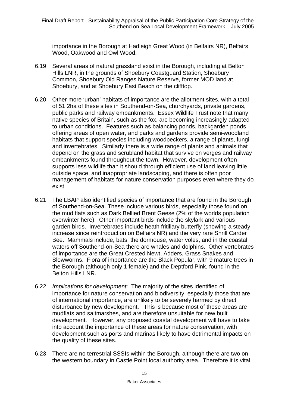importance in the Borough at Hadleigh Great Wood (in Belfairs NR), Belfairs Wood, Oakwood and Owl Wood.

- 6.19 Several areas of natural grassland exist in the Borough, including at Belton Hills LNR, in the grounds of Shoebury Coastguard Station, Shoebury Common, Shoebury Old Ranges Nature Reserve, former MOD land at Shoebury, and at Shoebury East Beach on the clifftop.
- 6.20 Other more 'urban' habitats of importance are the allotment sites, with a total of 51.2ha of these sites in Southend-on-Sea, churchyards, private gardens, public parks and railway embankments. Essex Wildlife Trust note that many native species of Britain, such as the fox, are becoming increasingly adapted to urban conditions. Features such as balancing ponds, backgarden ponds offering areas of open water, and parks and gardens provide semi-woodland habitats that support species including woodpeckers, a range of plants, fungi and invertebrates. Similarly there is a wide range of plants and animals that depend on the grass and scrubland habitat that survive on verges and railway embankments found throughout the town. However, development often supports less wildlife than it should through efficient use of land leaving little outside space, and inappropriate landscaping, and there is often poor management of habitats for nature conservation purposes even where they do exist.
- 6.21 The LBAP also identified species of importance that are found in the Borough of Southend-on-Sea. These include various birds, especially those found on the mud flats such as Dark Bellied Brent Geese (2% of the worlds population overwinter here). Other important birds include the skylark and various garden birds. Invertebrates include heath fritillary butterfly (showing a steady increase since reintroduction on Belfairs NR) and the very rare Shrill Carder Bee. Mammals include, bats, the dormouse, water voles, and in the coastal waters off Southend-on-Sea there are whales and dolphins. Other vertebrates of importance are the Great Crested Newt, Adders, Grass Snakes and Slowworms. Flora of importance are the Black Popular, with 9 mature trees in the Borough (although only 1 female) and the Deptford Pink, found in the Belton Hills LNR.
- 6.22 *Implications for development*: The majority of the sites identified of importance for nature conservation and biodiversity, especially those that are of international importance, are unlikely to be severely harmed by direct disturbance by new development. This is because most of these areas are mudflats and saltmarshes, and are therefore unsuitable for new built development. However, any proposed coastal development will have to take into account the importance of these areas for nature conservation, with development such as ports and marinas likely to have detrimental impacts on the quality of these sites.
- 6.23 There are no terrestrial SSSIs within the Borough, although there are two on the western boundary in Castle Point local authority area. Therefore it is vital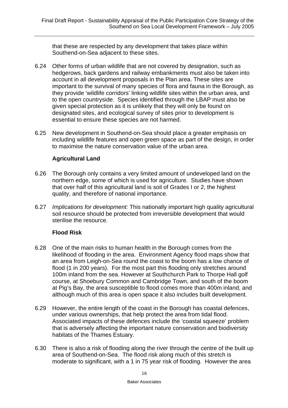that these are respected by any development that takes place within Southend-on-Sea adjacent to these sites.

- 6.24 Other forms of urban wildlife that are not covered by designation, such as hedgerows, back gardens and railway embankments must also be taken into account in all development proposals in the Plan area. These sites are important to the survival of many species of flora and fauna in the Borough, as they provide 'wildlife corridors' linking wildlife sites within the urban area, and to the open countryside. Species identified through the LBAP must also be given special protection as it is unlikely that they will only be found on designated sites, and ecological survey of sites prior to development is essential to ensure these species are not harmed.
- 6.25 New development in Southend-on-Sea should place a greater emphasis on including wildlife features and open green space as part of the design, in order to maximise the nature conservation value of the urban area.

#### **Agricultural Land**

- 6.26 The Borough only contains a very limited amount of undeveloped land on the northern edge, some of which is used for agriculture. Studies have shown that over half of this agricultural land is soil of Grades I or 2, the highest quality, and therefore of national importance.
- 6.27 *Implications for development:* This nationally important high quality agricultural soil resource should be protected from irreversible development that would sterilise the resource.

### **Flood Risk**

- 6.28 One of the main risks to human health in the Borough comes from the likelihood of flooding in the area. Environment Agency flood maps show that an area from Leigh-on-Sea round the coast to the boom has a low chance of flood (1 in 200 years). For the most part this flooding only stretches around 100m inland from the sea. However at Southchurch Park to Thorpe Hall golf course, at Shoebury Common and Cambridge Town, and south of the boom at Pig's Bay, the area susceptible to flood comes more than 400m inland, and although much of this area is open space it also includes built development.
- 6.29 However, the entire length of the coast in the Borough has coastal defences, under various ownerships, that help protect the area from tidal flood. Associated impacts of these defences include the 'coastal squeeze' problem that is adversely affecting the important nature conservation and biodiversity habitats of the Thames Estuary.
- 6.30 There is also a risk of flooding along the river through the centre of the built up area of Southend-on-Sea. The flood risk along much of this stretch is moderate to significant, with a 1 in 75 year risk of flooding. However the area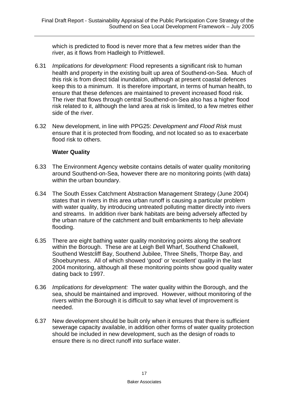which is predicted to flood is never more that a few metres wider than the river, as it flows from Hadleigh to Prittlewell.

- 6.31 *Implications for development:* Flood represents a significant risk to human health and property in the existing built up area of Southend-on-Sea. Much of this risk is from direct tidal inundation, although at present coastal defences keep this to a minimum. It is therefore important, in terms of human health, to ensure that these defences are maintained to prevent increased flood risk. The river that flows through central Southend-on-Sea also has a higher flood risk related to it, although the land area at risk is limited, to a few metres either side of the river.
- 6.32 New development, in line with PPG25: *Development and Flood Risk* must ensure that it is protected from flooding, and not located so as to exacerbate flood risk to others.

#### **Water Quality**

- 6.33 The Environment Agency website contains details of water quality monitoring around Southend-on-Sea, however there are no monitoring points (with data) within the urban boundary.
- 6.34 The South Essex Catchment Abstraction Management Strategy (June 2004) states that in rivers in this area urban runoff is causing a particular problem with water quality, by introducing untreated polluting matter directly into rivers and streams. In addition river bank habitats are being adversely affected by the urban nature of the catchment and built embankments to help alleviate flooding.
- 6.35 There are eight bathing water quality monitoring points along the seafront within the Borough. These are at Leigh Bell Wharf, Southend Chalkwell, Southend Westcliff Bay, Southend Jubilee, Three Shells, Thorpe Bay, and Shoeburyness. All of which showed 'good' or 'excellent' quality in the last 2004 monitoring, although all these monitoring points show good quality water dating back to 1997.
- 6.36 *Implications for development:* The water quality within the Borough, and the sea, should be maintained and improved. However, without monitoring of the rivers within the Borough it is difficult to say what level of improvement is needed.
- 6.37 New development should be built only when it ensures that there is sufficient sewerage capacity available, in addition other forms of water quality protection should be included in new development, such as the design of roads to ensure there is no direct runoff into surface water.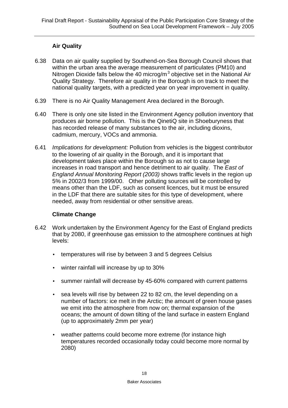### **Air Quality**

- 6.38 Data on air quality supplied by Southend-on-Sea Borough Council shows that within the urban area the average measurement of particulates (PM10) and Nitrogen Dioxide falls below the 40 microg/m<sup>3</sup> objective set in the National Air Quality Strategy. Therefore air quality in the Borough is on track to meet the national quality targets, with a predicted year on year improvement in quality.
- 6.39 There is no Air Quality Management Area declared in the Borough.
- 6.40 There is only one site listed in the Environment Agency pollution inventory that produces air borne pollution. This is the QinetiQ site in Shoeburyness that has recorded release of many substances to the air, including dioxins, cadmium, mercury, VOCs and ammonia.
- 6.41 *Implications for development:* Pollution from vehicles is the biggest contributor to the lowering of air quality in the Borough, and it is important that development takes place within the Borough so as not to cause large increases in road transport and hence detriment to air quality. The *East of England Annual Monitoring Report (2003)* shows traffic levels in the region up 5% in 2002/3 from 1999/00.Other polluting sources will be controlled by means other than the LDF, such as consent licences, but it must be ensured in the LDF that there are suitable sites for this type of development, where needed, away from residential or other sensitive areas.

#### **Climate Change**

- 6.42 Work undertaken by the Environment Agency for the East of England predicts that by 2080, if greenhouse gas emission to the atmosphere continues at high levels:
	- temperatures will rise by between 3 and 5 degrees Celsius
	- winter rainfall will increase by up to 30%
	- summer rainfall will decrease by 45-60% compared with current patterns
	- sea levels will rise by between 22 to 82 cm, the level depending on a number of factors: ice melt in the Arctic; the amount of green house gases we emit into the atmosphere from now on; thermal expansion of the oceans; the amount of down tilting of the land surface in eastern England (up to approximately 2mm per year)
	- weather patterns could become more extreme (for instance high temperatures recorded occasionally today could become more normal by 2080)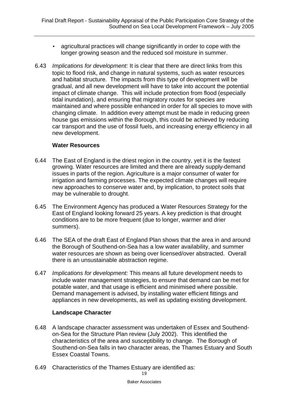- agricultural practices will change significantly in order to cope with the longer growing season and the reduced soil moisture in summer.
- 6.43 *Implications for development:* It is clear that there are direct links from this topic to flood risk, and change in natural systems, such as water resources and habitat structure. The impacts from this type of development will be gradual, and all new development will have to take into account the potential impact of climate change. This will include protection from flood (especially tidal inundation), and ensuring that migratory routes for species are maintained and where possible enhanced in order for all species to move with changing climate. In addition every attempt must be made in reducing green house gas emissions within the Borough, this could be achieved by reducing car transport and the use of fossil fuels, and increasing energy efficiency in all new development.

#### **Water Resources**

- 6.44 The East of England is the driest region in the country, yet it is the fastest growing. Water resources are limited and there are already supply-demand issues in parts of the region. Agriculture is a major consumer of water for irrigation and farming processes. The expected climate changes will require new approaches to conserve water and, by implication, to protect soils that may be vulnerable to drought.
- 6.45 The Environment Agency has produced a Water Resources Strategy for the East of England looking forward 25 years. A key prediction is that drought conditions are to be more frequent (due to longer, warmer and drier summers).
- 6.46 The SEA of the draft East of England Plan shows that the area in and around the Borough of Southend-on-Sea has a low water availability, and summer water resources are shown as being over licensed/over abstracted. Overall there is an unsustainable abstraction regime.
- 6.47 *Implications for development:* This means all future development needs to include water management strategies, to ensure that demand can be met for potable water, and that usage is efficient and minimised where possible. Demand management is advised, by installing water efficient fittings and appliances in new developments, as well as updating existing development.

#### **Landscape Character**

- 6.48 A landscape character assessment was undertaken of Essex and Southendon-Sea for the Structure Plan review (July 2002). This identified the characteristics of the area and susceptibility to change. The Borough of Southend-on-Sea falls in two character areas, the Thames Estuary and South Essex Coastal Towns.
- 6.49 Characteristics of the Thames Estuary are identified as: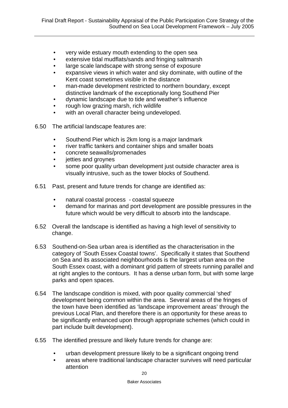- *•* very wide estuary mouth extending to the open sea
- *•* extensive tidal mudflats/sands and fringing saltmarsh
- *•* large scale landscape with strong sense of exposure
- *•* expansive views in which water and sky dominate, with outline of the Kent coast sometimes visible in the distance
- *•* man-made development restricted to northern boundary, except distinctive landmark of the exceptionally long Southend Pier
- *•* dynamic landscape due to tide and weather's influence
- *•* rough low grazing marsh, rich wildlife
- *•* with an overall character being undeveloped.
- 6.50 The artificial landscape features are:
	- *•* Southend Pier which is 2km long is a major landmark
	- *•* river traffic tankers and container ships and smaller boats
	- *•* concrete seawalls/promenades
	- *•* jetties and groynes
	- *•* some poor quality urban development just outside character area is visually intrusive, such as the tower blocks of Southend.
- 6.51 Past, present and future trends for change are identified as:
	- *•* natural coastal process coastal squeeze
	- *•* demand for marinas and port development are possible pressures in the future which would be very difficult to absorb into the landscape.
- 6.52 Overall the landscape is identified as having a high level of sensitivity to change.
- 6.53 Southend-on-Sea urban area is identified as the characterisation in the category of 'South Essex Coastal towns'. Specifically it states that Southend on Sea and its associated neighbourhoods is the largest urban area on the South Essex coast, with a dominant grid pattern of streets running parallel and at right angles to the contours. It has a dense urban form, but with some large parks and open spaces.
- 6.54 The landscape condition is mixed, with poor quality commercial 'shed' development being common within the area. Several areas of the fringes of the town have been identified as 'landscape improvement areas' through the previous Local Plan, and therefore there is an opportunity for these areas to be significantly enhanced upon through appropriate schemes (which could in part include built development).
- 6.55 The identified pressure and likely future trends for change are:
	- *•* urban development pressure likely to be a significant ongoing trend
	- *•* areas where traditional landscape character survives will need particular attention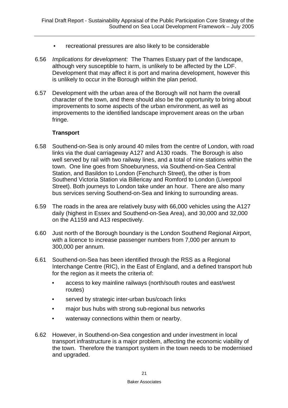- *•* recreational pressures are also likely to be considerable
- 6.56 *Implications for development:* The Thames Estuary part of the landscape, although very susceptible to harm, is unlikely to be affected by the LDF. Development that may affect it is port and marina development, however this is unlikely to occur in the Borough within the plan period.
- 6.57 Development with the urban area of the Borough will not harm the overall character of the town, and there should also be the opportunity to bring about improvements to some aspects of the urban environment, as well as improvements to the identified landscape improvement areas on the urban fringe.

#### **Transport**

- 6.58 Southend-on-Sea is only around 40 miles from the centre of London, with road links via the dual carriageway A127 and A130 roads. The Borough is also well served by rail with two railway lines, and a total of nine stations within the town. One line goes from Shoeburyness, via Southend-on-Sea Central Station, and Basildon to London (Fenchurch Street), the other is from Southend Victoria Station via Billericay and Romford to London (Liverpool Street). Both journeys to London take under an hour. There are also many bus services serving Southend-on-Sea and linking to surrounding areas.
- 6.59 The roads in the area are relatively busy with 66,000 vehicles using the A127 daily (highest in Essex and Southend-on-Sea Area), and 30,000 and 32,000 on the A1159 and A13 respectively.
- 6.60 Just north of the Borough boundary is the London Southend Regional Airport, with a licence to increase passenger numbers from 7,000 per annum to 300,000 per annum.
- 6.61 Southend-on-Sea has been identified through the RSS as a Regional Interchange Centre (RIC), in the East of England, and a defined transport hub for the region as it meets the criteria of:
	- access to key mainline railways (north/south routes and east/west routes)
	- served by strategic inter-urban bus/coach links
	- major bus hubs with strong sub-regional bus networks
	- waterway connections within them or nearby.
- 6.62 However, in Southend-on-Sea congestion and under investment in local transport infrastructure is a major problem, affecting the economic viability of the town. Therefore the transport system in the town needs to be modernised and upgraded.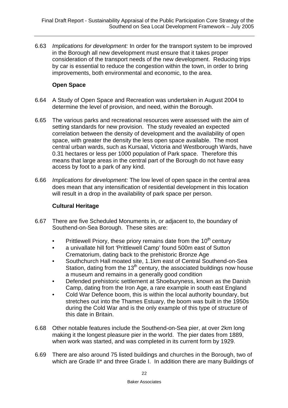6.63 *Implications for development:* In order for the transport system to be improved in the Borough all new development must ensure that it takes proper consideration of the transport needs of the new development. Reducing trips by car is essential to reduce the congestion within the town, in order to bring improvements, both environmental and economic, to the area.

#### **Open Space**

- 6.64 A Study of Open Space and Recreation was undertaken in August 2004 to determine the level of provision, and need, within the Borough.
- 6.65 The various parks and recreational resources were assessed with the aim of setting standards for new provision. The study revealed an expected correlation between the density of development and the availability of open space, with greater the density the less open space available. The most central urban wards, such as Kursaal, Victoria and Westborough Wards, have 0.31 hectares or less per 1000 population of Park space. Therefore this means that large areas in the central part of the Borough do not have easy access by foot to a park of any kind.
- 6.66 *Implications for development:* The low level of open space in the central area does mean that any intensification of residential development in this location will result in a drop in the availability of park space per person.

#### **Cultural Heritage**

- 6.67 There are five Scheduled Monuments in, or adjacent to, the boundary of Southend-on-Sea Borough. These sites are:
	- Prittlewell Priory, these priory remains date from the  $10<sup>th</sup>$  century
	- a univallate hill fort 'Prittlewell Camp' found 500m east of Sutton Crematorium, dating back to the prehistoric Bronze Age
	- Southchurch Hall moated site, 1.1km east of Central Southend-on-Sea Station, dating from the  $13<sup>th</sup>$  century, the associated buildings now house a museum and remains in a generally good condition
	- Defended prehistoric settlement at Shoeburyness, known as the Danish Camp, dating from the Iron Age, a rare example in south east England
	- Cold War Defence boom, this is within the local authority boundary, but stretches out into the Thames Estuary, the boom was built in the 1950s during the Cold War and is the only example of this type of structure of this date in Britain.
- 6.68 Other notable features include the Southend-on-Sea pier, at over 2km long making it the longest pleasure pier in the world. The pier dates from 1889, when work was started, and was completed in its current form by 1929.
- 6.69 There are also around 75 listed buildings and churches in the Borough, two of which are Grade II\* and three Grade I. In addition there are many Buildings of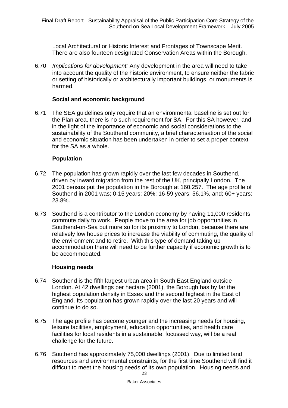Local Architectural or Historic Interest and Frontages of Townscape Merit. There are also fourteen designated Conservation Areas within the Borough.

6.70 *Implications for development:* Any development in the area will need to take into account the quality of the historic environment, to ensure neither the fabric or setting of historically or architecturally important buildings, or monuments is harmed.

#### **Social and economic background**

6.71 The SEA guidelines only require that an environmental baseline is set out for the Plan area, there is no such requirement for SA. For this SA however, and in the light of the importance of economic and social considerations to the sustainability of the Southend community, a brief characterisation of the social and economic situation has been undertaken in order to set a proper context for the SA as a whole.

#### **Population**

- 6.72 The population has grown rapidly over the last few decades in Southend, driven by inward migration from the rest of the UK, principally London. The 2001 census put the population in the Borough at 160,257. The age profile of Southend in 2001 was; 0-15 years: 20%; 16-59 years: 56.1%, and; 60+ years: 23.8%.
- 6.73 Southend is a contributor to the London economy by having 11,000 residents commute daily to work. People move to the area for job opportunities in Southend-on-Sea but more so for its proximity to London, because there are relatively low house prices to increase the viability of commuting, the quality of the environment and to retire. With this type of demand taking up accommodation there will need to be further capacity if economic growth is to be accommodated.

#### **Housing needs**

- 6.74 Southend is the fifth largest urban area in South East England outside London. At 42 dwellings per hectare (2001), the Borough has by far the highest population density in Essex and the second highest in the East of England. Its population has grown rapidly over the last 20 years and will continue to do so.
- 6.75 The age profile has become younger and the increasing needs for housing, leisure facilities, employment, education opportunities, and health care facilities for local residents in a sustainable, focussed way, will be a real challenge for the future.
- 23 6.76 Southend has approximately 75,000 dwellings (2001). Due to limited land resources and environmental constraints, for the first time Southend will find it difficult to meet the housing needs of its own population. Housing needs and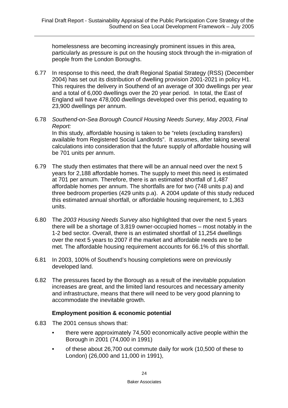homelessness are becoming increasingly prominent issues in this area, particularly as pressure is put on the housing stock through the in-migration of people from the London Boroughs.

- 6.77 In response to this need, the draft Regional Spatial Strategy (RSS) (December 2004) has set out its distribution of dwelling provision 2001-2021 in policy H1. This requires the delivery in Southend of an average of 300 dwellings per year and a total of 6,000 dwellings over the 20 year period. In total, the East of England will have 478,000 dwellings developed over this period, equating to 23,900 dwellings per annum.
- 6.78 *Southend-on-Sea Borough Council Housing Needs Survey, May 2003, Final Report:*  In this study, affordable housing is taken to be "relets (excluding transfers) available from Registered Social Landlords". It assumes, after taking several calculations into consideration that the future supply of affordable housing will be 701 units per annum.
- 6.79 The study then estimates that there will be an annual need over the next 5 years for 2,188 affordable homes. The supply to meet this need is estimated at 701 per annum. Therefore, there is an estimated shortfall of 1,487 affordable homes per annum. The shortfalls are for two (748 units p.a) and three bedroom properties (429 units p.a). A 2004 update of this study reduced this estimated annual shortfall, or affordable housing requirement, to 1,363 units.
- 6.80 The *2003 Housing Needs Survey* also highlighted that over the next 5 years there will be a shortage of 3,819 owner-occupied homes – most notably in the 1-2 bed sector. Overall, there is an estimated shortfall of 11,254 dwellings over the next 5 years to 2007 if the market and affordable needs are to be met. The affordable housing requirement accounts for 66.1% of this shortfall.
- 6.81 In 2003, 100% of Southend's housing completions were on previously developed land.
- 6.82 The pressures faced by the Borough as a result of the inevitable population increases are great, and the limited land resources and necessary amenity and infrastructure, means that there will need to be very good planning to accommodate the inevitable growth.

#### **Employment position & economic potential**

- 6.83 The 2001 census shows that:
	- there were approximately 74,500 economically active people within the Borough in 2001 (74,000 in 1991)
	- of these about 26,700 out commute daily for work (10,500 of these to London) (26,000 and 11,000 in 1991),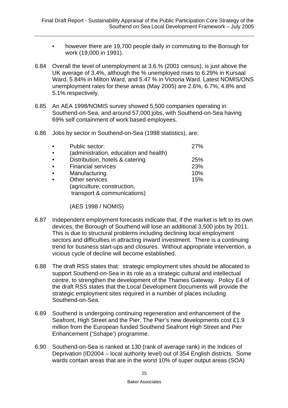- however there are 19,700 people daily in commuting to the Borough for work (19,000 in 1991).
- 6.84 Overall the level of unemployment at 3.6.% (2001 census), is just above the UK average of 3.4%, although the % unemployed rises to 6.29% in Kursaal Ward, 5.84% in Milton Ward, and 5.47 % in Victoria Ward. Latest NOMIS/ONS unemployment rates for these areas (May 2005) are 2.6%, 6.7%, 4.8% and 5.1% respectively.
- 6.85 An AEA 1998/NOMIS survey showed 5,500 companies operating in Southend-on-Sea, and around 57,000 jobs, with Southend-on-Sea having 69% self containment of work based employees.
- 6.86 Jobs by sector in Southend-on-Sea (1998 statistics), are:

| $\bullet$ | Public sector:                         | 27%        |
|-----------|----------------------------------------|------------|
| $\bullet$ | (administration, education and health) |            |
| $\bullet$ | Distribution, hotels & catering        | <b>25%</b> |
| $\bullet$ | <b>Financial services</b>              | 23%        |
| $\bullet$ | Manufacturing                          | 10%        |
| $\bullet$ | Other services                         | 15%        |
|           | (agriculture, construction,            |            |
|           | transport & communications)            |            |

(AES 1998 / NOMIS)

- 6.87 Independent employment forecasts indicate that, if the market is left to its own devices, the Borough of Southend will lose an additional 3,500 jobs by 2011. This is due to structural problems including declining local employment sectors and difficulties in attracting inward investment. There is a continuing trend for business start-ups and closures. Without appropriate intervention, a vicious cycle of decline will become established.
- 6.88 The draft RSS states that*:* strategic employment sites should be allocated to support Southend-on-Sea in its role as a strategic cultural and intellectual centre, to strengthen the development of the Thames Gateway. Policy E4 of the draft RSS states that the Local Development Documents will provide the strategic employment sites required in a number of places including Southend-on-Sea.
- 6.89 Southend is undergoing continuing regeneration and enhancement of the Seafront, High Street and the Pier. The Pier's new developments cost £1.9 million from the European funded Southend Seafront High Street and Pier Enhancement ('Sshape') programme.
- 6.90 Southend-on-Sea is ranked at 130 (rank of average rank) in the Indices of Deprivation (ID2004 – local authority level) out of 354 English districts. Some wards contain areas that are in the worst 10% of super output areas (SOA)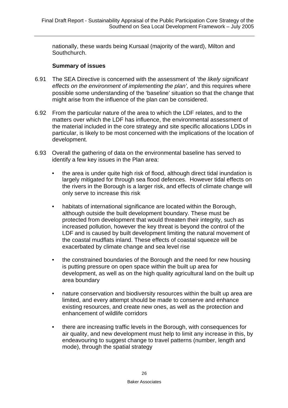nationally, these wards being Kursaal (majority of the ward), Milton and Southchurch.

#### **Summary of issues**

- 6.91 The SEA Directive is concerned with the assessment of *'the likely significant effects on the environment of implementing the plan',* and this requires where possible some understanding of the 'baseline' situation so that the change that might arise from the influence of the plan can be considered.
- 6.92 From the particular nature of the area to which the LDF relates, and to the matters over which the LDF has influence, the environmental assessment of the material included in the core strategy and site specific allocations LDDs in particular, is likely to be most concerned with the implications of the location of development.
- 6.93 Overall the gathering of data on the environmental baseline has served to identify a few key issues in the Plan area:
	- the area is under quite high risk of flood, although direct tidal inundation is largely mitigated for through sea flood defences. However tidal effects on the rivers in the Borough is a larger risk, and effects of climate change will only serve to increase this risk
	- habitats of international significance are located within the Borough, although outside the built development boundary. These must be protected from development that would threaten their integrity, such as increased pollution, however the key threat is beyond the control of the LDF and is caused by built development limiting the natural movement of the coastal mudflats inland. These effects of coastal squeeze will be exacerbated by climate change and sea level rise
	- the constrained boundaries of the Borough and the need for new housing is putting pressure on open space within the built up area for development, as well as on the high quality agricultural land on the built up area boundary
	- nature conservation and biodiversity resources within the built up area are limited, and every attempt should be made to conserve and enhance existing resources, and create new ones, as well as the protection and enhancement of wildlife corridors
	- there are increasing traffic levels in the Borough, with consequences for air quality, and new development must help to limit any increase in this, by endeavouring to suggest change to travel patterns (number, length and mode), through the spatial strategy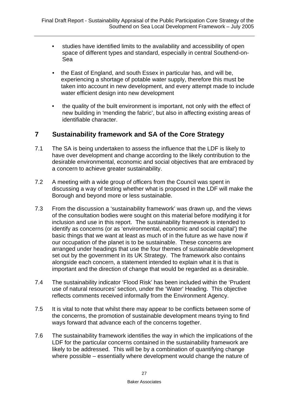- studies have identified limits to the availability and accessibility of open space of different types and standard, especially in central Southend-on-Sea
- the East of England, and south Essex in particular has, and will be, experiencing a shortage of potable water supply, therefore this must be taken into account in new development, and every attempt made to include water efficient design into new development
- the quality of the built environment is important, not only with the effect of new building in 'mending the fabric', but also in affecting existing areas of identifiable character.

### **7 Sustainability framework and SA of the Core Strategy**

- 7.1 The SA is being undertaken to assess the influence that the LDF is likely to have over development and change according to the likely contribution to the desirable environmental, economic and social objectives that are embraced by a concern to achieve greater sustainability.
- 7.2 A meeting with a wide group of officers from the Council was spent in discussing a way of testing whether what is proposed in the LDF will make the Borough and beyond more or less sustainable.
- 7.3 From the discussion a 'sustainability framework' was drawn up, and the views of the consultation bodies were sought on this material before modifying it for inclusion and use in this report. The sustainability framework is intended to identify as concerns (or as 'environmental, economic and social capital') the basic things that we want at least as much of in the future as we have now if our occupation of the planet is to be sustainable. These concerns are arranged under headings that use the four themes of sustainable development set out by the government in its UK Strategy. The framework also contains alongside each concern, a statement intended to explain what it is that is important and the direction of change that would be regarded as a desirable.
- 7.4 The sustainability indicator 'Flood Risk' has been included within the 'Prudent use of natural resources' section, under the 'Water' Heading. This objective reflects comments received informally from the Environment Agency.
- 7.5 It is vital to note that whilst there may appear to be conflicts between some of the concerns, the promotion of sustainable development means trying to find ways forward that advance each of the concerns together.
- 7.6 The sustainability framework identifies the way in which the implications of the LDF for the particular concerns contained in the sustainability framework are likely to be addressed. This will be by a combination of quantifying change where possible – essentially where development would change the nature of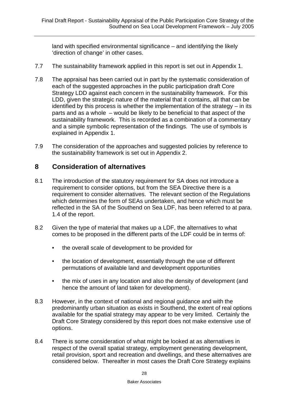land with specified environmental significance – and identifying the likely 'direction of change' in other cases.

- 7.7 The sustainability framework applied in this report is set out in Appendix 1.
- 7.8 The appraisal has been carried out in part by the systematic consideration of each of the suggested approaches in the public participation draft Core Strategy LDD against each concern in the sustainability framework. For this LDD, given the strategic nature of the material that it contains, all that can be identified by this process is whether the implementation of the strategy – in its parts and as a whole – would be likely to be beneficial to that aspect of the sustainability framework. This is recorded as a combination of a commentary and a simple symbolic representation of the findings. The use of symbols is explained in Appendix 1.
- 7.9 The consideration of the approaches and suggested policies by reference to the sustainability framework is set out in Appendix 2.

## **8 Consideration of alternatives**

- 8.1 The introduction of the statutory requirement for SA does not introduce a requirement to consider options, but from the SEA Directive there is a requirement to consider alternatives. The relevant section of the Regulations which determines the form of SEAs undertaken, and hence which must be reflected in the SA of the Southend on Sea LDF, has been referred to at para. 1.4 of the report.
- 8.2 Given the type of material that makes up a LDF, the alternatives to what comes to be proposed in the different parts of the LDF could be in terms of:
	- the overall scale of development to be provided for
	- the location of development, essentially through the use of different permutations of available land and development opportunities
	- the mix of uses in any location and also the density of development (and hence the amount of land taken for development).
- 8.3 However, in the context of national and regional guidance and with the predominantly urban situation as exists in Southend, the extent of real options available for the spatial strategy may appear to be very limited. Certainly the Draft Core Strategy considered by this report does not make extensive use of options.
- 8.4 There is some consideration of what might be looked at as alternatives in respect of the overall spatial strategy, employment generating development, retail provision, sport and recreation and dwellings, and these alternatives are considered below. Thereafter in most cases the Draft Core Strategy explains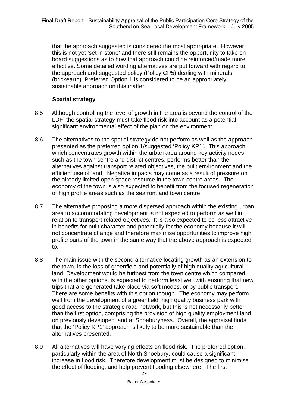that the approach suggested is considered the most appropriate. However, this is not yet 'set in stone' and there still remains the opportunity to take on board suggestions as to how that approach could be reinforced/made more effective. Some detailed wording alternatives are put forward with regard to the approach and suggested policy (Policy CP5) dealing with minerals (brickearth). Preferred Option 1 is considered to be an appropriately sustainable approach on this matter.

### **Spatial strategy**

- 8.5 Although controlling the level of growth in the area is beyond the control of the LDF, the spatial strategy must take flood risk into account as a potential significant environmental effect of the plan on the environment.
- 8.6 The alternatives to the spatial strategy do not perform as well as the approach presented as the preferred option 1/suggested 'Policy KP1'. This approach, which concentrates growth within the urban area around key activity nodes such as the town centre and district centres, performs better than the alternatives against transport related objectives, the built environment and the efficient use of land. Negative impacts may come as a result of pressure on the already limited open space resource in the town centre areas. The economy of the town is also expected to benefit from the focused regeneration of high profile areas such as the seafront and town centre.
- 8.7 The alternative proposing a more dispersed approach within the existing urban area to accommodating development is not expected to perform as well in relation to transport related objectives. It is also expected to be less attractive in benefits for built character and potentially for the economy because it will not concentrate change and therefore maximise opportunities to improve high profile parts of the town in the same way that the above approach is expected to.
- 8.8 The main issue with the second alternative locating growth as an extension to the town, is the loss of greenfield and potentially of high quality agricultural land. Development would be furthest from the town centre which compared with the other options, is expected to perform least well with ensuring that new trips that are generated take place via soft modes, or by public transport. There are some benefits with this option though. The economy may perform well from the development of a greenfield, high quality business park with good access to the strategic road network, but this is not necessarily better than the first option, comprising the provision of high quality employment land on previously developed land at Shoeburyness. Overall, the appraisal finds that the 'Policy KP1' approach is likely to be more sustainable than the alternatives presented.
- 8.9 All alternatives will have varying effects on flood risk. The preferred option, particularly within the area of North Shoebury, could cause a significant increase in flood risk. Therefore development must be designed to minimise the effect of flooding, and help prevent flooding elsewhere. The first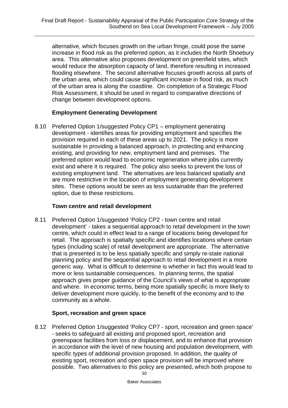alternative, which focuses growth on the urban fringe, could pose the same increase in flood risk as the preferred option, as it includes the North Shoebury area. This alternative also proposes development on greenfield sites, which would reduce the absorption capacity of land, therefore resulting in increased flooding elsewhere. The second alternative focuses growth across all parts of the urban area, which could cause significant increase in flood risk, as much of the urban area is along the coastline. On completion of a Strategic Flood Risk Assessment, it should be used in regard to comparative directions of change between development options.

#### **Employment Generating Development**

8.10 Preferred Option 1/suggested Policy CP1 – employment generating development - identifies areas for providing employment and specifies the provision required in each of these areas up to 2021. The policy is more sustainable in providing a balanced approach, in protecting and enhancing existing, and providing for new, employment land and premises. The preferred option would lead to economic regeneration where jobs currently exist and where it is required. The policy also seeks to prevent the loss of existing employment land. The alternatives are less balanced spatially and are more restrictive in the location of employment generating development sites. These options would be seen as less sustainable than the preferred option, due to these restrictions.

#### **Town centre and retail development**

8.11 Preferred Option 1/suggested 'Policy CP2 - town centre and retail development' - takes a sequential approach to retail development in the town centre, which could in effect lead to a range of locations being developed for retail. The approach is spatially specific and identifies locations where certain types (including scale) of retail development are appropriate. The alternative that is presented is to be less spatially specific and simply re-state national planning policy and the sequential approach to retail development in a more generic way. What is difficult to determine is whether in fact this would lead to more or less sustainable consequences. In planning terms, the spatial approach gives proper guidance of the Council's views of what is appropriate and where. In economic terms, being more spatially specific is more likely to deliver development more quickly, to the benefit of the economy and to the community as a whole.

#### **Sport, recreation and green space**

8.12 Preferred Option 1/suggested 'Policy CP7 - sport, recreation and green space' - seeks to safeguard all existing and proposed sport, recreation and greenspace facilities from loss or displacement, and to enhance that provision in accordance with the level of new housing and population development, with specific types of additional provision proposed. In addition, the quality of existing sport, recreation and open space provision will be improved where possible. Two alternatives to this policy are presented, which both propose to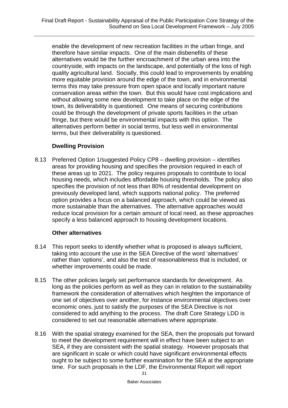enable the development of new recreation facilities in the urban fringe, and therefore have similar impacts. One of the main disbenefits of these alternatives would be the further encroachment of the urban area into the countryside, with impacts on the landscape, and potentially of the loss of high quality agricultural land. Socially, this could lead to improvements by enabling more equitable provision around the edge of the town, and in environmental terms this may take pressure from open space and locally important nature conservation areas within the town. But this would have cost implications and without allowing some new development to take place on the edge of the town, its deliverability is questioned. One means of securing contributions could be through the development of private sports facilities in the urban fringe, but there would be environmental impacts with this option. The alternatives perform better in social terms, but less well in environmental terms, but their deliverability is questioned.

#### **Dwelling Provision**

8.13 Preferred Option 1/suggested Policy CP8 – dwelling provision – identifies areas for providing housing and specifies the provision required in each of these areas up to 2021. The policy requires proposals to contribute to local housing needs, which includes affordable housing thresholds. The policy also specifies the provision of not less than 80% of residential development on previously developed land, which supports national policy. The preferred option provides a focus on a balanced approach, which could be viewed as more sustainable than the alternatives. The alternative approaches would reduce local provision for a certain amount of local need, as these approaches specify a less balanced approach to housing development locations.

#### **Other alternatives**

- 8.14 This report seeks to identify whether what is proposed is always sufficient, taking into account the use in the SEA Directive of the word 'alternatives' rather than 'options', and also the test of reasonableness that is included, or whether improvements could be made.
- 8.15 The other policies largely set performance standards for development. As long as the policies perform as well as they can in relation to the sustainability framework the consideration of alternatives which heighten the importance of one set of objectives over another, for instance environmental objectives over economic ones, just to satisfy the purposes of the SEA Directive is not considered to add anything to the process. The draft Core Strategy LDD is considered to set out reasonable alternatives where appropriate.
- 8.16 With the spatial strategy examined for the SEA, then the proposals put forward to meet the development requirement will in effect have been subject to an SEA, if they are consistent with the spatial strategy. However proposals that are significant in scale or which could have significant environmental effects ought to be subject to some further examination for the SEA at the appropriate time. For such proposals in the LDF, the Environmental Report will report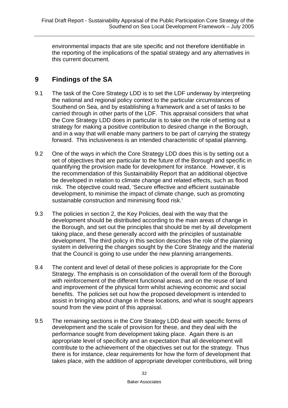environmental impacts that are site specific and not therefore identifiable in the reporting of the implications of the spatial strategy and any alternatives in this current document.

# **9 Findings of the SA**

- 9.1 The task of the Core Strategy LDD is to set the LDF underway by interpreting the national and regional policy context to the particular circumstances of Southend on Sea, and by establishing a framework and a set of tasks to be carried through in other parts of the LDF. This appraisal considers that what the Core Strategy LDD does in particular is to take on the role of setting out a strategy for making a positive contribution to desired change in the Borough, and in a way that will enable many partners to be part of carrying the strategy forward. This inclusiveness is an intended characteristic of spatial planning.
- 9.2 One of the ways in which the Core Strategy LDD does this is by setting out a set of objectives that are particular to the future of the Borough and specific in quantifying the provision made for development for instance. However, it is the recommendation of this Sustainability Report that an additional objective be developed in relation to climate change and related effects, such as flood risk. The objective could read, 'Secure effective and efficient sustainable development, to minimise the impact of climate change, such as promoting sustainable construction and minimising flood risk.'
- 9.3 The policies in section 2, the Key Policies, deal with the way that the development should be distributed according to the main areas of change in the Borough, and set out the principles that should be met by all development taking place, and these generally accord with the principles of sustainable development. The third policy in this section describes the role of the planning system in delivering the changes sought by the Core Strategy and the material that the Council is going to use under the new planning arrangements.
- 9.4 The content and level of detail of these policies is appropriate for the Core Strategy. The emphasis is on consolidation of the overall form of the Borough with reinforcement of the different functional areas, and on the reuse of land and improvement of the physical form whilst achieving economic and social benefits. The policies set out how the proposed development is intended to assist in bringing about change in these locations, and what is sought appears sound from the view point of this appraisal.
- 9.5 The remaining sections in the Core Strategy LDD deal with specific forms of development and the scale of provision for these, and they deal with the performance sought from development taking place. Again there is an appropriate level of specificity and an expectation that all development will contribute to the achievement of the objectives set out for the strategy. Thus there is for instance, clear requirements for how the form of development that takes place, with the addition of appropriate developer contributions, will bring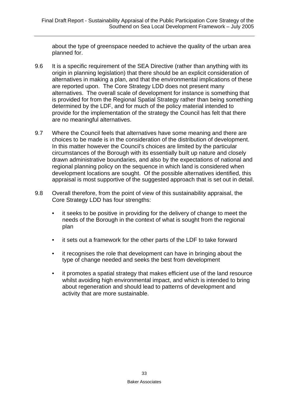about the type of greenspace needed to achieve the quality of the urban area planned for.

- 9.6 It is a specific requirement of the SEA Directive (rather than anything with its origin in planning legislation) that there should be an explicit consideration of alternatives in making a plan, and that the environmental implications of these are reported upon. The Core Strategy LDD does not present many alternatives. The overall scale of development for instance is something that is provided for from the Regional Spatial Strategy rather than being something determined by the LDF, and for much of the policy material intended to provide for the implementation of the strategy the Council has felt that there are no meaningful alternatives.
- 9.7 Where the Council feels that alternatives have some meaning and there are choices to be made is in the consideration of the distribution of development. In this matter however the Council's choices are limited by the particular circumstances of the Borough with its essentially built up nature and closely drawn administrative boundaries, and also by the expectations of national and regional planning policy on the sequence in which land is considered when development locations are sought. Of the possible alternatives identified, this appraisal is most supportive of the suggested approach that is set out in detail.
- 9.8 Overall therefore, from the point of view of this sustainability appraisal, the Core Strategy LDD has four strengths:
	- it seeks to be positive in providing for the delivery of change to meet the needs of the Borough in the context of what is sought from the regional plan
	- it sets out a framework for the other parts of the LDF to take forward
	- it recognises the role that development can have in bringing about the type of change needed and seeks the best from development
	- it promotes a spatial strategy that makes efficient use of the land resource whilst avoiding high environmental impact, and which is intended to bring about regeneration and should lead to patterns of development and activity that are more sustainable.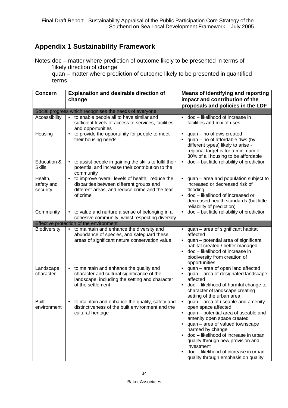## **Appendix 1 Sustainability Framework**

Notes:doc – matter where prediction of outcome likely to be presented in terms of 'likely direction of change'

quan – matter where prediction of outcome likely to be presented in quantified terms

| <b>Concern</b>       | <b>Explanation and desirable direction of</b>                                                | <b>Means of identifying and reporting</b>                                  |
|----------------------|----------------------------------------------------------------------------------------------|----------------------------------------------------------------------------|
|                      | change                                                                                       | impact and contribution of the                                             |
|                      |                                                                                              | proposals and policies in the LDF                                          |
|                      | Social progress which recognises the needs of everyone                                       |                                                                            |
| <b>Accessibility</b> | to enable people all to have similar and<br>$\bullet$                                        | doc - likelihood of increase in                                            |
|                      | sufficient levels of access to services, facilities                                          | facilities and mix of uses                                                 |
|                      | and opportunities                                                                            |                                                                            |
| Housing              | to provide the opportunity for people to meet                                                | $quan - no$ of dws created<br>٠                                            |
|                      | their housing needs                                                                          | $quan - no$ of affordable dws (by                                          |
|                      |                                                                                              | different types) likely to arise -                                         |
|                      |                                                                                              | regional target is for a minimum of<br>30% of all housing to be affordable |
| Education &          | to assist people in gaining the skills to fulfil their<br>$\bullet$                          | • doc - but little reliability of prediction                               |
| <b>Skills</b>        | potential and increase their contribution to the                                             |                                                                            |
|                      | community                                                                                    |                                                                            |
| Health,              | to improve overall levels of health, reduce the<br>$\bullet$                                 | quan - area and population subject to                                      |
| safety and           | disparities between different groups and                                                     | increased or decreased risk of                                             |
| security             | different areas, and reduce crime and the fear                                               | flooding                                                                   |
|                      | of crime                                                                                     | doc - likelihood of increased or                                           |
|                      |                                                                                              | decreased health standards (but little                                     |
|                      |                                                                                              | reliability of prediction)                                                 |
| Community            | to value and nurture a sense of belonging in a                                               | $doc - but$ little reliability of prediction                               |
|                      | cohesive community, whilst respecting diversity<br>Effective protection of the environment   |                                                                            |
| <b>Biodiversity</b>  | to maintain and enhance the diversity and<br>$\bullet$                                       | quan - area of significant habitat                                         |
|                      | abundance of species, and safeguard these                                                    | affected                                                                   |
|                      | areas of significant nature conservation value                                               | quan - potential area of significant                                       |
|                      |                                                                                              | habitat created / better managed                                           |
|                      |                                                                                              | doc - likelihood of increase in<br>$\bullet$                               |
|                      |                                                                                              | biodiversity from creation of                                              |
|                      |                                                                                              | opportunities                                                              |
| Landscape            | to maintain and enhance the quality and<br>$\bullet$                                         | quan - area of open land affected<br>٠                                     |
| character            | character and cultural significance of the<br>landscape, including the setting and character | quan - area of designated landscape<br>affected                            |
|                      | of the settlement                                                                            | doc - likelihood of harmful change to                                      |
|                      |                                                                                              |                                                                            |
|                      |                                                                                              | character of landscape creating                                            |
|                      |                                                                                              | setting of the urban area                                                  |
| <b>Built</b>         | to maintain and enhance the quality, safety and<br>$\bullet$                                 | quan - area of useable and amenity                                         |
| environment          | distinctiveness of the built environment and the                                             | open space affected                                                        |
|                      | cultural heritage                                                                            | quan – potential area of useable and                                       |
|                      |                                                                                              | amenity open space created<br>quan - area of valued townscape<br>$\bullet$ |
|                      |                                                                                              | harmed by change                                                           |
|                      |                                                                                              | doc - likelihood of increase in urban                                      |
|                      |                                                                                              | quality through new provision and                                          |
|                      |                                                                                              | investment<br>doc - likelihood of increase in urban                        |
|                      |                                                                                              |                                                                            |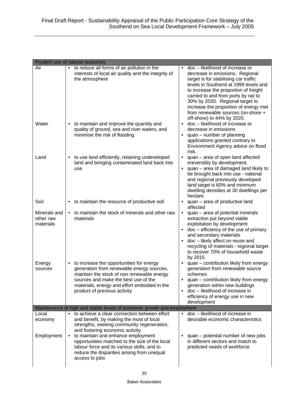|                                        | Prudent use of natural resources                                                                                                                                                                                                                                                                                                                                                  |                                                                                                                                                                                                                                                                                                                                                                                       |
|----------------------------------------|-----------------------------------------------------------------------------------------------------------------------------------------------------------------------------------------------------------------------------------------------------------------------------------------------------------------------------------------------------------------------------------|---------------------------------------------------------------------------------------------------------------------------------------------------------------------------------------------------------------------------------------------------------------------------------------------------------------------------------------------------------------------------------------|
| Air                                    | to reduce all forms of air pollution in the<br>interests of local air quality and the integrity of<br>the atmosphere                                                                                                                                                                                                                                                              | doc - likelihood of increase or<br>decrease in emissions. Regional<br>target is for stabilising car traffic<br>levels in Southend at 1999 levels and<br>to increase the proportion of freight<br>carried to and from ports by rail to<br>30% by 2020. Regional target to<br>increase the proportion of energy met<br>from renewable sources (on-shore +<br>off-shore) to 44% by 2020. |
| Water                                  | to maintain and improve the quantity and<br>quality of ground, sea and river waters, and<br>minimise the risk of flooding                                                                                                                                                                                                                                                         | doc - likelihood of increase or<br>decrease in emissions<br>quan - number of planning<br>applications granted contrary to<br>Environment Agency advice on flood<br>risk.                                                                                                                                                                                                              |
| Land                                   | to use land efficiently, retaining undeveloped<br>land and bringing contaminated land back into<br>use                                                                                                                                                                                                                                                                            | quan - area of open land affected<br>$\bullet$<br>irreversibly by development.<br>quan - area of damaged land likely to<br>$\bullet$<br>be brought back into use - national<br>and regional previously developed<br>land target is 60% and minimum<br>dwelling densities at 30 dwellings per<br>hectare.                                                                              |
| Soil                                   | to maintain the resource of productive soil                                                                                                                                                                                                                                                                                                                                       | quan - area of productive land<br>affected                                                                                                                                                                                                                                                                                                                                            |
| Minerals and<br>other raw<br>materials | to maintain the stock of minerals and other raw<br>materials                                                                                                                                                                                                                                                                                                                      | quan - area of potential minerals<br>extraction put beyond viable<br>exploitation by development<br>doc - efficiency of the use of primary<br>and secondary materials<br>doc - likely affect on reuse and<br>recycling of materials - regional target<br>to recover 70% of household waste<br>by 2015                                                                                 |
| Energy<br>sources                      | to increase the opportunities for energy<br>generation from renewable energy sources,<br>maintain the stock of non renewable energy<br>sources and make the best use of the<br>materials, energy and effort embodied in the<br>product of previous activity                                                                                                                       | quan - contribution likely from energy<br>generation from renewable source<br>schemes<br>quan – contribution likely from energy<br>٠<br>generation within new buildings<br>doc - likelihood of increase in<br>$\bullet$<br>efficiency of energy use in new<br>development                                                                                                             |
|                                        | Maintenance of high and stable levels of economic growth and employment                                                                                                                                                                                                                                                                                                           |                                                                                                                                                                                                                                                                                                                                                                                       |
| Local<br>economy<br>Employment         | to achieve a clear connection between effort<br>and benefit, by making the most of local<br>strengths, seeking community regeneration,<br>and fostering economic activity<br>to maintain and enhance employment<br>opportunities matched to the size of the local<br>labour force and its various skills, and to<br>reduce the disparities arising from unequal<br>access to jobs | doc - likelihood of increase in<br>$\bullet$<br>desirable economic characteristics<br>quan – potential number of new jobs<br>in different sectors and match to<br>predicted needs of workforce                                                                                                                                                                                        |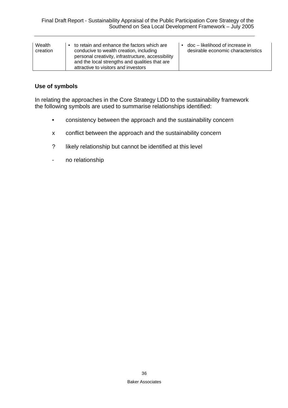| Wealth<br>creation | to retain and enhance the factors which are<br>conducive to wealth creation, including<br>personal creativity, infrastructure, accessibility<br>and the local strengths and qualities that are<br>attractive to visitors and investors | doc – likelihood of increase in<br>desirable economic characteristics |
|--------------------|----------------------------------------------------------------------------------------------------------------------------------------------------------------------------------------------------------------------------------------|-----------------------------------------------------------------------|
|--------------------|----------------------------------------------------------------------------------------------------------------------------------------------------------------------------------------------------------------------------------------|-----------------------------------------------------------------------|

#### **Use of symbols**

In relating the approaches in the Core Strategy LDD to the sustainability framework the following symbols are used to summarise relationships identified:

- consistency between the approach and the sustainability concern
- x conflict between the approach and the sustainability concern
- ? likely relationship but cannot be identified at this level
- no relationship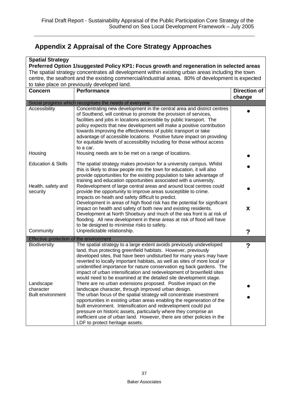# **Appendix 2 Appraisal of the Core Strategy Approaches**

| <b>Spatial Strategy</b>                                                                                                                                                                      |                                                                                                                                                                                |                     |  |
|----------------------------------------------------------------------------------------------------------------------------------------------------------------------------------------------|--------------------------------------------------------------------------------------------------------------------------------------------------------------------------------|---------------------|--|
| Preferred Option 1/suggested Policy KP1: Focus growth and regeneration in selected areas<br>The spatial strategy concentrates all development within existing urban areas including the town |                                                                                                                                                                                |                     |  |
|                                                                                                                                                                                              | centre, the seafront and the existing commercial/industrial areas. 80% of development is expected                                                                              |                     |  |
|                                                                                                                                                                                              | to take place on previously developed land.                                                                                                                                    |                     |  |
| <b>Concern</b>                                                                                                                                                                               | <b>Performance</b>                                                                                                                                                             | <b>Direction of</b> |  |
|                                                                                                                                                                                              |                                                                                                                                                                                | change              |  |
|                                                                                                                                                                                              | Social progress which recognises the needs of everyone                                                                                                                         |                     |  |
| Accessibility                                                                                                                                                                                | Concentrating new development in the central area and district centres                                                                                                         |                     |  |
|                                                                                                                                                                                              | of Southend, will continue to promote the provision of services,                                                                                                               |                     |  |
|                                                                                                                                                                                              | facilities and jobs in locations accessible by public transport. The                                                                                                           |                     |  |
|                                                                                                                                                                                              | policy expects that new development will make a positive contribution                                                                                                          |                     |  |
|                                                                                                                                                                                              | towards improving the effectiveness of public transport or take                                                                                                                |                     |  |
|                                                                                                                                                                                              | advantage of accessible locations. Positive future impact on providing                                                                                                         |                     |  |
|                                                                                                                                                                                              | for equitable levels of accessibility including for those without access                                                                                                       |                     |  |
|                                                                                                                                                                                              | to a car.                                                                                                                                                                      |                     |  |
| Housing                                                                                                                                                                                      | Housing needs are to be met on a range of locations.                                                                                                                           |                     |  |
| <b>Education &amp; Skills</b>                                                                                                                                                                | The spatial strategy makes provision for a university campus. Whilst                                                                                                           |                     |  |
|                                                                                                                                                                                              | this is likely to draw people into the town for education, it will also                                                                                                        |                     |  |
|                                                                                                                                                                                              | provide opportunities for the existing population to take advantage of                                                                                                         |                     |  |
|                                                                                                                                                                                              | training and education opportunities associated with a university.                                                                                                             |                     |  |
| Health, safety and                                                                                                                                                                           | Redevelopment of large central areas and around local centres could                                                                                                            |                     |  |
| security                                                                                                                                                                                     | provide the opportunity to improve areas susceptible to crime.                                                                                                                 |                     |  |
|                                                                                                                                                                                              | Impacts on heath and safety difficult to predict.                                                                                                                              |                     |  |
|                                                                                                                                                                                              | Development in areas of high flood risk has the potential for significant                                                                                                      |                     |  |
|                                                                                                                                                                                              | impact on health and safety of both new and existing residents.                                                                                                                | X                   |  |
|                                                                                                                                                                                              | Development at North Shoebury and much of the sea front is at risk of                                                                                                          |                     |  |
|                                                                                                                                                                                              | flooding. All new development in these areas at risk of flood will have<br>to be designed to minimise risks to safety.                                                         |                     |  |
| Community                                                                                                                                                                                    | Unpredictable relationship.                                                                                                                                                    |                     |  |
|                                                                                                                                                                                              |                                                                                                                                                                                | ?                   |  |
| Effective protection of the environment                                                                                                                                                      |                                                                                                                                                                                |                     |  |
| Biodiversity                                                                                                                                                                                 | The spatial strategy to a large extent avoids previously undeveloped                                                                                                           | ?                   |  |
|                                                                                                                                                                                              | land, thus protecting greenfield habitats. However, previously<br>developed sites, that have been undisturbed for many years may have                                          |                     |  |
|                                                                                                                                                                                              | reverted to locally important habitats, as well as sites of more local or                                                                                                      |                     |  |
|                                                                                                                                                                                              | unidentified importance for nature conservation eg back gardens. The                                                                                                           |                     |  |
|                                                                                                                                                                                              | impact of urban intensification and redevelopment of brownfield sites                                                                                                          |                     |  |
|                                                                                                                                                                                              | would need to be examined at the detailed site development stage.                                                                                                              |                     |  |
| Landscape                                                                                                                                                                                    | There are no urban extensions proposed. Positive impact on the                                                                                                                 |                     |  |
| character                                                                                                                                                                                    | landscape character, through improved urban design.                                                                                                                            |                     |  |
| <b>Built environment</b>                                                                                                                                                                     | The urban focus of the spatial strategy will concentrate investment                                                                                                            |                     |  |
|                                                                                                                                                                                              | opportunities in existing urban areas enabling the regeneration of the                                                                                                         |                     |  |
|                                                                                                                                                                                              | built environment. Intensification and redevelopment could put                                                                                                                 |                     |  |
|                                                                                                                                                                                              |                                                                                                                                                                                |                     |  |
|                                                                                                                                                                                              |                                                                                                                                                                                |                     |  |
|                                                                                                                                                                                              | pressure on historic assets, particularly where they comprise an<br>inefficient use of urban land. However, there are other policies in the<br>LDF to protect heritage assets. |                     |  |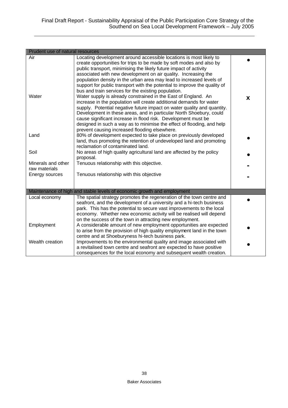| Prudent use of natural resources |                                                                                                                                                  |   |
|----------------------------------|--------------------------------------------------------------------------------------------------------------------------------------------------|---|
| Air                              | Locating development around accessible locations is most likely to                                                                               |   |
|                                  | create opportunities for trips to be made by soft modes and also by                                                                              |   |
|                                  | public transport, minimising the likely future impact of activity                                                                                |   |
|                                  | associated with new development on air quality. Increasing the                                                                                   |   |
|                                  | population density in the urban area may lead to increased levels of                                                                             |   |
|                                  | support for public transport with the potential to improve the quality of                                                                        |   |
|                                  | bus and train services for the existing population.                                                                                              |   |
| Water                            | Water supply is already constrained in the East of England. An                                                                                   | X |
|                                  | increase in the population will create additional demands for water                                                                              |   |
|                                  | supply. Potential negative future impact on water quality and quantity.                                                                          |   |
|                                  | Development in these areas, and in particular North Shoebury, could                                                                              |   |
|                                  | cause significant increase in flood risk. Development must be<br>designed in such a way as to minimise the effect of flooding, and help          |   |
|                                  | prevent causing increased flooding elsewhere.                                                                                                    |   |
| Land                             | 80% of development expected to take place on previously developed                                                                                |   |
|                                  | land, thus promoting the retention of undeveloped land and promoting                                                                             |   |
|                                  | reclamation of contaminated land.                                                                                                                |   |
| Soil                             | No areas of high quality agricultural land are affected by the policy                                                                            |   |
|                                  | proposal.                                                                                                                                        |   |
| Minerals and other               | Tenuous relationship with this objective.                                                                                                        |   |
| raw materials                    |                                                                                                                                                  |   |
| Energy sources                   | Tenuous relationship with this objective                                                                                                         |   |
|                                  |                                                                                                                                                  |   |
|                                  |                                                                                                                                                  |   |
| Local economy                    | Maintenance of high and stable levels of economic growth and employment<br>The spatial strategy promotes the regeneration of the town centre and |   |
|                                  | seafront, and the development of a university and a hi-tech business                                                                             |   |
|                                  | park. This has the potential to secure vast improvements to the local                                                                            |   |
|                                  | economy. Whether new economic activity will be realised will depend                                                                              |   |
|                                  | on the success of the town in attracting new employment.                                                                                         |   |
| Employment                       | A considerable amount of new employment opportunities are expected                                                                               |   |
|                                  | to arise from the provision of high quality employment land in the town                                                                          |   |
|                                  | centre and at Shoeburyness hi-tech business park.                                                                                                |   |
| Wealth creation                  | Improvements to the environmental quality and image associated with                                                                              |   |
|                                  | a revitalised town centre and seafront are expected to have positive                                                                             |   |
|                                  | consequences for the local economy and subsequent wealth creation.                                                                               |   |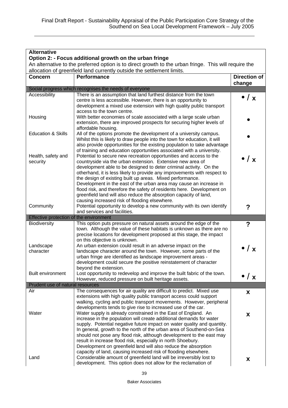| <b>Alternative</b>                                                                                                                                                              |                                                                                                                                                   |                      |  |  |
|---------------------------------------------------------------------------------------------------------------------------------------------------------------------------------|---------------------------------------------------------------------------------------------------------------------------------------------------|----------------------|--|--|
| Option 2: - Focus additional growth on the urban fringe                                                                                                                         |                                                                                                                                                   |                      |  |  |
| An alternative to the preferred option is to direct growth to the urban fringe. This will require the<br>allocation of greenfield land currently outside the settlement limits. |                                                                                                                                                   |                      |  |  |
| <b>Concern</b>                                                                                                                                                                  | <b>Performance</b>                                                                                                                                | <b>Direction of</b>  |  |  |
|                                                                                                                                                                                 |                                                                                                                                                   | change               |  |  |
|                                                                                                                                                                                 | Social progress which recognises the needs of everyone                                                                                            |                      |  |  |
| Accessibility                                                                                                                                                                   | There is an assumption that land furthest distance from the town                                                                                  | $\bullet$ / $\times$ |  |  |
|                                                                                                                                                                                 | centre is less accessible. However, there is an opportunity to                                                                                    |                      |  |  |
|                                                                                                                                                                                 | development a mixed use extension with high quality public transport<br>access to the town centre.                                                |                      |  |  |
| Housing                                                                                                                                                                         | With better economies of scale associated with a large scale urban                                                                                |                      |  |  |
|                                                                                                                                                                                 | extension, there are improved prospects for securing higher levels of                                                                             |                      |  |  |
|                                                                                                                                                                                 | affordable housing.                                                                                                                               |                      |  |  |
| <b>Education &amp; Skills</b>                                                                                                                                                   | All of the options promote the development of a university campus.                                                                                |                      |  |  |
|                                                                                                                                                                                 | Whilst this is likely to draw people into the town for education, it will                                                                         |                      |  |  |
|                                                                                                                                                                                 | also provide opportunities for the existing population to take advantage<br>of training and education opportunities associated with a university. |                      |  |  |
| Health, safety and                                                                                                                                                              | Potential to secure new recreation opportunities and access to the                                                                                |                      |  |  |
| security                                                                                                                                                                        | countryside via the urban extension. Extensive new area of                                                                                        | $\bullet$ / $\times$ |  |  |
|                                                                                                                                                                                 | development able to be designed to deter criminal activity. On the                                                                                |                      |  |  |
|                                                                                                                                                                                 | otherhand, it is less likely to provide any improvements with respect to                                                                          |                      |  |  |
|                                                                                                                                                                                 | the design of existing built up areas. Mixed performance.<br>Development in the east of the urban area may cause an increase in                   |                      |  |  |
|                                                                                                                                                                                 | flood risk, and therefore the safety of residents here. Development on                                                                            |                      |  |  |
|                                                                                                                                                                                 | greenfield land will also reduce the absorption capacity of land,                                                                                 |                      |  |  |
|                                                                                                                                                                                 | causing increased risk of flooding elsewhere.                                                                                                     |                      |  |  |
| Community                                                                                                                                                                       | Potential opportunity to develop a new community with its own identify                                                                            | ?                    |  |  |
|                                                                                                                                                                                 | and services and facilities.                                                                                                                      |                      |  |  |
| Effective protection of the environment                                                                                                                                         |                                                                                                                                                   |                      |  |  |
| <b>Biodiversity</b>                                                                                                                                                             | This option puts pressure on natural assets around the edge of the<br>town. Although the value of these habitats is unknown as there are no       | ?                    |  |  |
|                                                                                                                                                                                 | precise locations for development proposed at this stage, the impact                                                                              |                      |  |  |
|                                                                                                                                                                                 | on this objective is unknown.                                                                                                                     |                      |  |  |
| Landscape                                                                                                                                                                       | An urban extension could result in an adverse impact on the                                                                                       | $\bullet$ / $\times$ |  |  |
| character                                                                                                                                                                       | landscape character around the town. However, some parts of the                                                                                   |                      |  |  |
|                                                                                                                                                                                 | urban fringe are identified as landscape improvement areas -                                                                                      |                      |  |  |
|                                                                                                                                                                                 | development could secure the positive reinstatement of character<br>beyond the extension.                                                         |                      |  |  |
| <b>Built environment</b>                                                                                                                                                        | Lost opportunity to redevelop and improve the built fabric of the town.                                                                           |                      |  |  |
|                                                                                                                                                                                 | However, reduced pressure on built heritage assets.                                                                                               | $\bullet$ / $\times$ |  |  |
| Prudent use of natural resources                                                                                                                                                |                                                                                                                                                   |                      |  |  |
| Air                                                                                                                                                                             | The consequences for air quality are difficult to predict. Mixed use                                                                              | X                    |  |  |
|                                                                                                                                                                                 | extensions with high quality public transport access could support                                                                                |                      |  |  |
|                                                                                                                                                                                 | walking, cycling and public transport movements. However, peripheral                                                                              |                      |  |  |
| Water                                                                                                                                                                           | developments tends to give rise to increased use of the car.<br>Water supply is already constrained in the East of England. An                    |                      |  |  |
|                                                                                                                                                                                 | increase in the population will create additional demands for water                                                                               | X                    |  |  |
|                                                                                                                                                                                 | supply. Potential negative future impact on water quality and quantity.                                                                           |                      |  |  |
|                                                                                                                                                                                 | In general, growth to the north of the urban area of Southend-on-Sea                                                                              |                      |  |  |
|                                                                                                                                                                                 | should not pose any flood risk, although development to the east may                                                                              |                      |  |  |
|                                                                                                                                                                                 | result in increase flood risk, especially in north Shoebury.<br>Development on greenfield land will also reduce the absorption                    |                      |  |  |
|                                                                                                                                                                                 | capacity of land, causing increased risk of flooding elsewhere.                                                                                   |                      |  |  |
| Land                                                                                                                                                                            | Considerable amount of greenfield land will be irreversibly lost to                                                                               | X                    |  |  |
|                                                                                                                                                                                 | development. This option does not allow for the reclamation of                                                                                    |                      |  |  |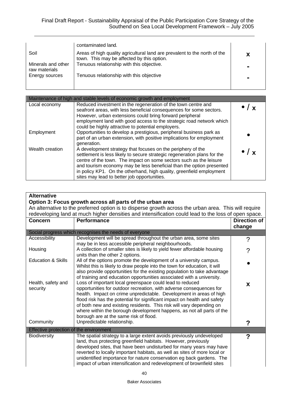|                                     | contaminated land.                                                                                                      |  |
|-------------------------------------|-------------------------------------------------------------------------------------------------------------------------|--|
| Soil                                | Areas of high quality agricultural land are prevalent to the north of the<br>town. This may be affected by this option. |  |
| Minerals and other<br>raw materials | Tenuous relationship with this objective.                                                                               |  |
| Energy sources                      | Tenuous relationship with this objective                                                                                |  |
|                                     |                                                                                                                         |  |

| Maintenance of high and stable levels of economic growth and employment |                                                                                                                                                                                                                                                                                                                                                                                                              |                          |  |
|-------------------------------------------------------------------------|--------------------------------------------------------------------------------------------------------------------------------------------------------------------------------------------------------------------------------------------------------------------------------------------------------------------------------------------------------------------------------------------------------------|--------------------------|--|
| Local economy                                                           | Reduced investment in the regeneration of the town centre and<br>seafront areas, with less beneficial consequences for some sectors.<br>However, urban extensions could bring forward peripheral<br>employment land with good access to the strategic road network which<br>could be highly attractive to potential employers.                                                                               |                          |  |
| Employment                                                              | Opportunities to develop a prestigious, peripheral business park as<br>part of an urban extension, with positive implications for employment<br>generation.                                                                                                                                                                                                                                                  |                          |  |
| Wealth creation                                                         | A development strategy that focuses on the periphery of the<br>settlement is less likely to secure strategic regeneration plans for the<br>centre of the town. The impact on some sectors such as the leisure<br>and tourism economy may be less beneficial than the option presented<br>in policy KP1. On the otherhand, high quality, greenfield employment<br>sites may lead to better job opportunities. | $\bullet$ / $\mathbf{y}$ |  |

| <b>Alternative</b><br>Option 3: Focus growth across all parts of the urban area<br>An alternative to the preferred option is to disperse growth across the urban area. This will require<br>redeveloping land at much higher densities and intensification could lead to the loss of open space. |                                                                                                                                                                                                                                                                                                                                                                                                                                                                               |                               |
|--------------------------------------------------------------------------------------------------------------------------------------------------------------------------------------------------------------------------------------------------------------------------------------------------|-------------------------------------------------------------------------------------------------------------------------------------------------------------------------------------------------------------------------------------------------------------------------------------------------------------------------------------------------------------------------------------------------------------------------------------------------------------------------------|-------------------------------|
| <b>Concern</b>                                                                                                                                                                                                                                                                                   | <b>Performance</b>                                                                                                                                                                                                                                                                                                                                                                                                                                                            | <b>Direction of</b><br>change |
|                                                                                                                                                                                                                                                                                                  | Social progress which recognises the needs of everyone                                                                                                                                                                                                                                                                                                                                                                                                                        |                               |
| Accessibility                                                                                                                                                                                                                                                                                    | Development will be spread throughout the urban area, some sites<br>may be in less accessible peripheral neighbourhoods.                                                                                                                                                                                                                                                                                                                                                      | ?                             |
| Housing                                                                                                                                                                                                                                                                                          | A collection of smaller sites is likely to yield fewer affordable housing<br>units than the other 2 options.                                                                                                                                                                                                                                                                                                                                                                  | ?                             |
| <b>Education &amp; Skills</b>                                                                                                                                                                                                                                                                    | All of the options promote the development of a university campus.<br>Whilst this is likely to draw people into the town for education, it will<br>also provide opportunities for the existing population to take advantage<br>of training and education opportunities associated with a university.                                                                                                                                                                          |                               |
| Health, safety and<br>security                                                                                                                                                                                                                                                                   | Loss of important local greenspace could lead to reduced<br>opportunities for outdoor recreation, with adverse consequences for<br>health. Impact on crime unpredictable. Development in areas of high<br>flood risk has the potential for significant impact on health and safety<br>of both new and existing residents. This risk will vary depending on<br>where within the borough development happens, as not all parts of the<br>borough are at the same risk of flood. | X                             |
| Community                                                                                                                                                                                                                                                                                        | Unpredictable relationship.                                                                                                                                                                                                                                                                                                                                                                                                                                                   | ?                             |
| Effective protection of the environment                                                                                                                                                                                                                                                          |                                                                                                                                                                                                                                                                                                                                                                                                                                                                               |                               |
| Biodiversity                                                                                                                                                                                                                                                                                     | The spatial strategy to a large extent avoids previously undeveloped<br>land, thus protecting greenfield habitats. However, previously<br>developed sites, that have been undisturbed for many years may have<br>reverted to locally important habitats, as well as sites of more local or<br>unidentified importance for nature conservation eg back gardens. The<br>impact of urban intensification and redevelopment of brownfield sites                                   | ?                             |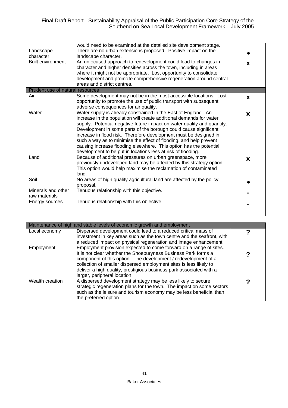| Landscape<br>character<br><b>Built environment</b> | would need to be examined at the detailed site development stage.<br>There are no urban extensions proposed. Positive impact on the<br>landscape character.<br>An unfocused approach to redevelopment could lead to changes in<br>character and higher densities across the town, including in areas<br>where it might not be appropriate. Lost opportunity to consolidate<br>development and promote comprehensive regeneration around central<br>areas and district centres.                                                                                        | X |
|----------------------------------------------------|-----------------------------------------------------------------------------------------------------------------------------------------------------------------------------------------------------------------------------------------------------------------------------------------------------------------------------------------------------------------------------------------------------------------------------------------------------------------------------------------------------------------------------------------------------------------------|---|
| Prudent use of natural resources                   |                                                                                                                                                                                                                                                                                                                                                                                                                                                                                                                                                                       |   |
| Air                                                | Some development may not be in the most accessible locations. Lost<br>opportunity to promote the use of public transport with subsequent<br>adverse consequences for air quality.                                                                                                                                                                                                                                                                                                                                                                                     | X |
| Water                                              | Water supply is already constrained in the East of England. An<br>increase in the population will create additional demands for water<br>supply. Potential negative future impact on water quality and quantity.<br>Development in some parts of the borough could cause significant<br>increase in flood risk. Therefore development must be designed in<br>such a way as to minimise the effect of flooding, and help prevent<br>causing increase flooding elsewhere. This option has the potential<br>development to be put in locations less at risk of flooding. | X |
| Land                                               | Because of additional pressures on urban greenspace, more<br>previously undeveloped land may be affected by this strategy option.<br>This option would help maximise the reclamation of contaminated<br>land.                                                                                                                                                                                                                                                                                                                                                         | X |
| Soil                                               | No areas of high quality agricultural land are affected by the policy<br>proposal.                                                                                                                                                                                                                                                                                                                                                                                                                                                                                    |   |
| Minerals and other<br>raw materials                | Tenuous relationship with this objective.                                                                                                                                                                                                                                                                                                                                                                                                                                                                                                                             |   |
| Energy sources                                     | Tenuous relationship with this objective                                                                                                                                                                                                                                                                                                                                                                                                                                                                                                                              |   |
|                                                    |                                                                                                                                                                                                                                                                                                                                                                                                                                                                                                                                                                       |   |

| Maintenance of high and stable levels of economic growth and employment |                                                                                                                                                                                                                                                                                                                                                                                                                     |  |
|-------------------------------------------------------------------------|---------------------------------------------------------------------------------------------------------------------------------------------------------------------------------------------------------------------------------------------------------------------------------------------------------------------------------------------------------------------------------------------------------------------|--|
| Local economy                                                           | Dispersed development could lead to a reduced critical mass of                                                                                                                                                                                                                                                                                                                                                      |  |
| Employment                                                              | investment in key areas such as the town centre and the seafront, with<br>a reduced impact on physical regeneration and image enhancement.<br>Employment provision expected to come forward on a range of sites.<br>It is not clear whether the Shoeburyness Business Park forms a<br>component of this option. The development / redevelopment of a                                                                |  |
| Wealth creation                                                         | collection of smaller dispersed employment sites is less likely to<br>deliver a high quality, prestigious business park associated with a<br>larger, peripheral location.<br>A dispersed development strategy may be less likely to secure<br>strategic regeneration plans for the town. The impact on some sectors<br>such as the leisure and tourism economy may be less beneficial than<br>the preferred option. |  |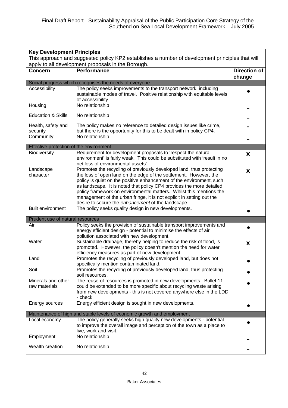| <b>Key Development Principles</b>                                                               |                                                                                                                                                                                                                                                                                           |                               |
|-------------------------------------------------------------------------------------------------|-------------------------------------------------------------------------------------------------------------------------------------------------------------------------------------------------------------------------------------------------------------------------------------------|-------------------------------|
| This approach and suggested policy KP2 establishes a number of development principles that will |                                                                                                                                                                                                                                                                                           |                               |
| apply to all development proposals in the Borough.                                              |                                                                                                                                                                                                                                                                                           |                               |
| <b>Concern</b>                                                                                  | <b>Performance</b>                                                                                                                                                                                                                                                                        | <b>Direction of</b><br>change |
|                                                                                                 | Social progress which recognises the needs of everyone                                                                                                                                                                                                                                    |                               |
| Accessibility                                                                                   | The policy seeks improvements to the transport network, including<br>sustainable modes of travel. Positive relationship with equitable levels<br>of accessibility.                                                                                                                        |                               |
| Housing                                                                                         | No relationship                                                                                                                                                                                                                                                                           |                               |
| <b>Education &amp; Skills</b>                                                                   | No relationship                                                                                                                                                                                                                                                                           |                               |
| Health, safety and<br>security<br>Community                                                     | The policy makes no reference to detailed design issues like crime,<br>but there is the opportunity for this to be dealt with in policy CP4.<br>No relationship                                                                                                                           |                               |
| Effective protection of the environment                                                         |                                                                                                                                                                                                                                                                                           |                               |
| Biodiversity                                                                                    | Requirement for development proposals to 'respect the natural<br>environment' is fairly weak. This could be substituted with 'result in no<br>net loss of environmental assets'                                                                                                           | X                             |
| Landscape<br>character                                                                          | Promotes the recycling of previously developed land, thus protecting<br>the loss of open land on the edge of the settlement. However, the<br>policy is quiet on the positive enhancement of the environment, such<br>as landscape. It is noted that policy CP4 provides the more detailed | X                             |
| <b>Built environment</b>                                                                        | policy framework on environmental matters. Whilst this mentions the<br>management of the urban fringe, it is not explicit in setting out the<br>desire to secure the enhancement of the landscape.<br>The policy seeks quality design in new developments.                                |                               |
|                                                                                                 |                                                                                                                                                                                                                                                                                           |                               |
| Prudent use of natural resources<br>Air                                                         | Policy seeks the provision of sustainable transport improvements and                                                                                                                                                                                                                      |                               |
| Water                                                                                           | energy efficient design - potential to minimise the effects of air<br>pollution associated with new development.<br>Sustainable drainage, thereby helping to reduce the risk of flood, is<br>promoted. However, the policy doesn't mention the need for water                             | X                             |
| Land                                                                                            | efficiency measures as part of new development.<br>Promotes the recycling of previously developed land, but does not<br>specifically mention contaminated land.                                                                                                                           |                               |
| Soil                                                                                            | Promotes the recycling of previously developed land, thus protecting<br>soil resources.                                                                                                                                                                                                   |                               |
| Minerals and other<br>raw materials                                                             | The reuse of resources is promoted in new developments. Bullet 11<br>could be extended to be more specific about recycling waste arising<br>from new developments - this is not covered anywhere else in the LDD<br>- check.                                                              |                               |
| Energy sources                                                                                  | Energy efficient design is sought in new developments.                                                                                                                                                                                                                                    |                               |
|                                                                                                 | Maintenance of high and stable levels of economic growth and employment                                                                                                                                                                                                                   |                               |
| Local economy<br>Employment                                                                     | The policy generally seeks high quality new developments - potential<br>to improve the overall image and perception of the town as a place to<br>live, work and visit.<br>No relationship                                                                                                 |                               |
|                                                                                                 |                                                                                                                                                                                                                                                                                           |                               |
| Wealth creation                                                                                 | No relationship                                                                                                                                                                                                                                                                           |                               |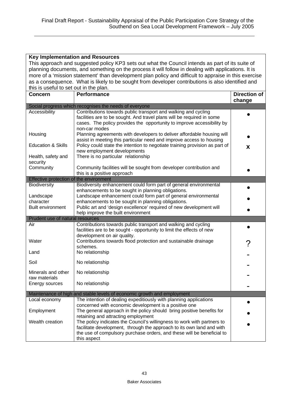|                                         | <b>Key Implementation and Resources</b>                                                               |                     |
|-----------------------------------------|-------------------------------------------------------------------------------------------------------|---------------------|
|                                         | This approach and suggested policy KP3 sets out what the Council intends as part of its suite of      |                     |
|                                         | planning documents, and something on the process it will follow in dealing with applications. It is   |                     |
|                                         | more of a 'mission statement' than development plan policy and difficult to appraise in this exercise |                     |
|                                         | as a consequence. What is likely to be sought from developer contributions is also identified and     |                     |
| this is useful to set out in the plan.  |                                                                                                       |                     |
| <b>Concern</b>                          | <b>Performance</b>                                                                                    | <b>Direction of</b> |
|                                         |                                                                                                       | change              |
|                                         | Social progress which recognises the needs of everyone                                                |                     |
| Accessibility                           | Contributions towards public transport and walking and cycling                                        |                     |
|                                         | facilities are to be sought. And travel plans will be required in some                                |                     |
|                                         | cases. The policy provides the opportunity to improve accessibility by                                |                     |
|                                         | non-car modes                                                                                         |                     |
| Housing                                 | Planning agreements with developers to deliver affordable housing will                                |                     |
|                                         | assist in meeting this particular need and improve access to housing                                  |                     |
| <b>Education &amp; Skills</b>           | Policy could state the intention to negotiate training provision as part of                           | X                   |
|                                         | new employment developments<br>There is no particular relationship                                    |                     |
| Health, safety and<br>security          |                                                                                                       |                     |
| Community                               | Community facilities will be sought from developer contribution and                                   |                     |
|                                         | this is a positive approach                                                                           |                     |
| Effective protection of the environment |                                                                                                       |                     |
| Biodiversity                            | Biodiversity enhancement could form part of general environmental                                     |                     |
|                                         | enhancements to be sought in planning obligations.                                                    |                     |
| Landscape                               | Landscape enhancement could form part of general environmental                                        |                     |
| character                               | enhancements to be sought in planning obligations.                                                    |                     |
| Built environment                       | Public art and 'design excellence' required of new development will                                   |                     |
|                                         | help improve the built environment                                                                    |                     |
| Prudent use of natural resources        |                                                                                                       |                     |
| Air                                     | Contributions towards public transport and walking and cycling                                        |                     |
|                                         | facilities are to be sought - opportunity to limit the effects of new                                 |                     |
| Water                                   | development on air quality.<br>Contributions towards flood protection and sustainable drainage        |                     |
|                                         | schemes.                                                                                              |                     |
| Land                                    | No relationship                                                                                       |                     |
|                                         |                                                                                                       |                     |
| Soil                                    | No relationship                                                                                       |                     |
|                                         |                                                                                                       |                     |
| Minerals and other                      | No relationship                                                                                       |                     |
| raw materials<br>Energy sources         | No relationship                                                                                       |                     |
|                                         |                                                                                                       |                     |
|                                         | Maintenance of high and stable levels of economic growth and employment                               |                     |
| Local economy                           | The intention of dealing expeditiously with planning applications                                     |                     |
|                                         | concerned with economic development is a positive one                                                 |                     |
| Employment                              | The general approach in the policy should bring positive benefits for                                 |                     |
|                                         | retaining and attracting employment                                                                   |                     |
| Wealth creation                         | The policy indicates the Council's willingness to work with partners to                               |                     |
|                                         | facilitate development, through the approach to its own land and with                                 |                     |
|                                         | the use of compulsory purchase orders, and these will be beneficial to<br>this aspect                 |                     |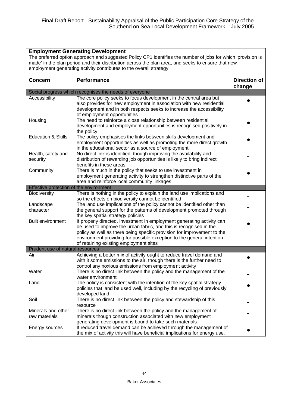#### **Employment Generating Development**

The preferred option approach and suggested Policy CP1 identifies the number of jobs for which 'provision is made' in the plan period and their distribution across the plan area, and seeks to ensure that new employment generating activity contributes to the overall strategy

| <b>Concern</b>                          | <b>Performance</b>                                                         | <b>Direction of</b> |
|-----------------------------------------|----------------------------------------------------------------------------|---------------------|
|                                         | Social progress which recognises the needs of everyone                     | change              |
| Accessibility                           | The core policy seeks to focus development in the central area but         |                     |
|                                         | also provides for new employment in association with new residential       |                     |
|                                         | development and in both respects seeks to increase the accessibility       |                     |
|                                         | of employment opportunities                                                |                     |
| Housing                                 | The need to reinforce a close relationship between residential             |                     |
|                                         | development and employment opportunities is recognised positively in       |                     |
|                                         | the policy                                                                 |                     |
| <b>Education &amp; Skills</b>           | The policy emphasises the links between skills development and             |                     |
|                                         | employment opportunities as well as promoting the more direct growth       |                     |
|                                         | in the educational sector as a source of employment                        |                     |
| Health, safety and                      | No direct link is identified, though improving the availability and        |                     |
| security                                | distribution of rewarding job opportunities is likely to bring indirect    |                     |
|                                         | benefits in these areas                                                    |                     |
| Community                               | There is much in the policy that seeks to use investment in                |                     |
|                                         | employment generating activity to strengthen distinctive parts of the      |                     |
|                                         | area and reinforce local community linkages                                |                     |
| Effective protection of the environment |                                                                            |                     |
| Biodiversity                            | There is nothing in the policy to explain the land use implications and    |                     |
|                                         | so the effects on biodiversity cannot be identified                        |                     |
| Landscape                               | The land use implications of the policy cannot be identified other than    |                     |
| character                               | the general support for the patterns of development promoted through       |                     |
|                                         | the key spatial strategy policies                                          |                     |
| <b>Built environment</b>                | If properly directed, investment in employment generating activity can     |                     |
|                                         | be used to improve the urban fabric, and this is recognised in the         |                     |
|                                         | policy as well as there being specific provision for improvement to the    |                     |
|                                         | environment providing for possible exception to the general intention      |                     |
|                                         | of retaining existing employment sites                                     |                     |
| Prudent use of natural resources<br>Air | Achieving a better mix of activity ought to reduce travel demand and       |                     |
|                                         | with it some emissions to the air, though there is the further need to     |                     |
|                                         | control any noxious emissions from employment activity                     |                     |
| Water                                   | There is no direct link between the policy and the management of the       |                     |
|                                         | water environment                                                          |                     |
| Land                                    | The policy is consistent with the intention of the key spatial strategy    |                     |
|                                         | policies that land be used well, including by the recycling of previously  |                     |
|                                         | developed land                                                             |                     |
| Soil                                    | There is no direct link between the policy and stewardship of this         |                     |
|                                         | resource                                                                   |                     |
| Minerals and other                      | There is no direct link between the policy and the management of           |                     |
| raw materials                           | minerals though construction associated with new employment                |                     |
|                                         | generating development is bound to take such materials                     |                     |
| Energy sources                          | If reduced travel demand can be achieved through the management of         |                     |
|                                         | the mix of activity this will have beneficial implications for energy use. |                     |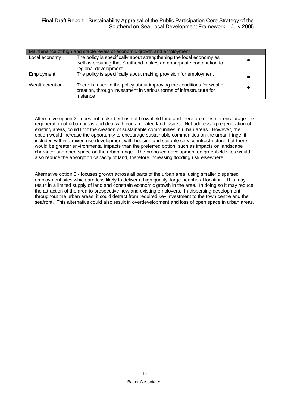| Maintenance of high and stable levels of economic growth and employment |                                                                                                                                                                    |  |
|-------------------------------------------------------------------------|--------------------------------------------------------------------------------------------------------------------------------------------------------------------|--|
| Local economy                                                           | The policy is specifically about strengthening the local economy as<br>well as ensuring that Southend makes an appropriate contribution to<br>regional development |  |
| Employment                                                              | The policy is specifically about making provision for employment                                                                                                   |  |
| Wealth creation                                                         | There is much in the policy about improving the conditions for wealth<br>creation, through investment in various forms of infrastructure for<br>instance           |  |

Alternative option 2 - does not make best use of brownfield land and therefore does not encourage the regeneration of urban areas and deal with contaminated land issues. Not addressing regeneration of existing areas, could limit the creation of sustainable communities in urban areas. However, the option would increase the opportunity to encourage sustainable communities on the urban fringe, if included within a mixed use development with housing and suitable service infrastructure, but there would be greater environmental impacts than the preferred option, such as impacts on landscape character and open space on the urban fringe. The proposed development on greenfield sites would also reduce the absorption capacity of land, therefore increasing flooding risk elsewhere.

Alternative option 3 - focuses growth across all parts of the urban area, using smaller dispersed employment sites which are less likely to deliver a high quality, large peripheral location. This may result in a limited supply of land and constrain economic growth in the area. In doing so it may reduce the attraction of the area to prospective new and existing employers. In dispersing development throughout the urban areas, it could detract from required key investment to the town centre and the seafront. This alternative could also result in overdevelopment and loss of open space in urban areas.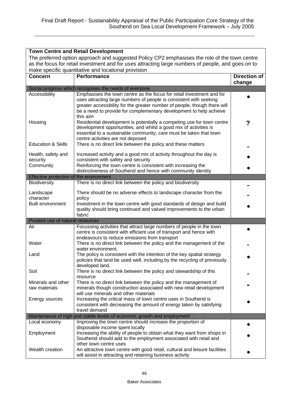| <b>Town Centre and Retail Development</b>                                                     |                                                                                                                                                 |                               |
|-----------------------------------------------------------------------------------------------|-------------------------------------------------------------------------------------------------------------------------------------------------|-------------------------------|
| The preferred option approach and suggested Policy CP2 emphasises the role of the town centre |                                                                                                                                                 |                               |
|                                                                                               | as the focus for retail investment and for uses attracting large numbers of people, and goes on to                                              |                               |
|                                                                                               | make specific quantitative and locational provision                                                                                             |                               |
| <b>Concern</b>                                                                                | Performance                                                                                                                                     | <b>Direction of</b><br>change |
|                                                                                               | Social progress which recognises the needs of everyone                                                                                          |                               |
| Accessibility                                                                                 | Emphasises the town centre as the focus for retail investment and for                                                                           |                               |
|                                                                                               | uses attracting large numbers of people is consistent with seeking                                                                              |                               |
|                                                                                               | greater accessibility for the greater number of people, though there will<br>be a need to provide for complementary development to help achieve |                               |
|                                                                                               | this aim                                                                                                                                        |                               |
| Housing                                                                                       | Residential development is potentially a competing use for town centre                                                                          | ?                             |
|                                                                                               | development opportunities, and whilst a good mix of activities is                                                                               |                               |
|                                                                                               | essential to a sustainable community, care must be taken that town                                                                              |                               |
|                                                                                               | centre activities are not deposed                                                                                                               |                               |
| <b>Education &amp; Skills</b>                                                                 | There is no direct link between the policy and these matters                                                                                    |                               |
| Health, safety and                                                                            | Increased activity and a good mix of activity throughout the day is                                                                             |                               |
| security                                                                                      | consistent with safety and security                                                                                                             |                               |
| Community                                                                                     | Reinforcing the town centre is consistent with increasing the                                                                                   |                               |
|                                                                                               | distinctiveness of Southend and hence with community identity                                                                                   |                               |
| Effective protection of the environment                                                       |                                                                                                                                                 |                               |
| <b>Biodiversity</b>                                                                           | There is no direct link between the policy and biodiversity                                                                                     |                               |
| Landscape                                                                                     | There should be no adverse effects to landscape character from the                                                                              |                               |
| character                                                                                     | policy                                                                                                                                          |                               |
| <b>Built environment</b>                                                                      | Investment in the town centre with good standards of design and build                                                                           |                               |
|                                                                                               | quality should bring continued and valued improvements to the urban                                                                             |                               |
|                                                                                               | fabric                                                                                                                                          |                               |
| Prudent use of natural resources<br>Air                                                       |                                                                                                                                                 |                               |
|                                                                                               | Focussing activities that attract large numbers of people in the town<br>centre is consistent with efficient use of transport and hence with    |                               |
|                                                                                               | endeavours to reduce emissions from transport                                                                                                   |                               |
| Water                                                                                         | There is no direct link between the policy and the management of the                                                                            |                               |
|                                                                                               | water environment.                                                                                                                              |                               |
| Land                                                                                          | The policy is consistent with the intention of the key spatial strategy                                                                         |                               |
|                                                                                               | policies that land be used well, including by the recycling of previously                                                                       |                               |
|                                                                                               | developed land.                                                                                                                                 |                               |
| Soil                                                                                          | There is no direct link between the policy and stewardship of this<br>resource                                                                  |                               |
| Minerals and other                                                                            | There is no direct link between the policy and the management of                                                                                |                               |
| raw materials                                                                                 | minerals though construction associated with new retail development                                                                             |                               |
|                                                                                               | will use minerals and other materials                                                                                                           |                               |
| Energy sources                                                                                | Increasing the critical mass of town centre uses in Southend is                                                                                 |                               |
|                                                                                               | consistent with decreasing the amount of energy taken by satisfying                                                                             |                               |
|                                                                                               | travel demand                                                                                                                                   |                               |
|                                                                                               | Maintenance of high and stable levels of economic growth and employment                                                                         |                               |
| Local economy                                                                                 | Improving the town centre should increase the proportion of<br>disposable income spent locally                                                  |                               |
| Employment                                                                                    | Increasing the ability of people to obtain what they want from shops in                                                                         |                               |
|                                                                                               | Southend should add to the employment associated with retail and                                                                                |                               |
|                                                                                               | other town centre uses                                                                                                                          |                               |
| Wealth creation                                                                               | An attractive town centre with good retail, cultural and leisure facilities                                                                     |                               |
|                                                                                               | will assist in attracting and retaining business activity                                                                                       |                               |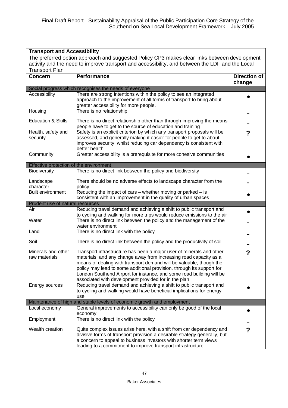| <b>Transport and Accessibility</b>                                                           |                                                                                                                                                                                                                                                                                                                                                                   |                               |
|----------------------------------------------------------------------------------------------|-------------------------------------------------------------------------------------------------------------------------------------------------------------------------------------------------------------------------------------------------------------------------------------------------------------------------------------------------------------------|-------------------------------|
| The preferred option approach and suggested Policy CP3 makes clear links between development |                                                                                                                                                                                                                                                                                                                                                                   |                               |
|                                                                                              | activity and the need to improve transport and accessibility, and between the LDF and the Local                                                                                                                                                                                                                                                                   |                               |
| <b>Transport Plan</b>                                                                        |                                                                                                                                                                                                                                                                                                                                                                   |                               |
| <b>Concern</b>                                                                               | <b>Performance</b>                                                                                                                                                                                                                                                                                                                                                | <b>Direction of</b><br>change |
|                                                                                              | Social progress which recognises the needs of everyone                                                                                                                                                                                                                                                                                                            |                               |
| Accessibility                                                                                | There are strong intentions within the policy to see an integrated<br>approach to the improvement of all forms of transport to bring about<br>greater accessibility for more people.                                                                                                                                                                              |                               |
| Housing                                                                                      | There is no relationship                                                                                                                                                                                                                                                                                                                                          |                               |
| <b>Education &amp; Skills</b>                                                                | There is no direct relationship other than through improving the means<br>people have to get to the source of education and training                                                                                                                                                                                                                              |                               |
| Health, safety and<br>security                                                               | Safety is an explicit criterion by which any transport proposals will be<br>assessed, and generally making it easier for people to get to about<br>improves security, whilst reducing car dependency is consistent with<br>better health                                                                                                                          | ?                             |
| Community                                                                                    | Greater accessibility is a prerequisite for more cohesive communities                                                                                                                                                                                                                                                                                             |                               |
| Effective protection of the environment                                                      |                                                                                                                                                                                                                                                                                                                                                                   |                               |
| <b>Biodiversity</b>                                                                          | There is no direct link between the policy and biodiversity                                                                                                                                                                                                                                                                                                       |                               |
| Landscape<br>character                                                                       | There should be no adverse effects to landscape character from the<br>policy                                                                                                                                                                                                                                                                                      |                               |
| <b>Built environment</b>                                                                     | Reducing the impact of cars $-$ whether moving or parked $-$ is                                                                                                                                                                                                                                                                                                   |                               |
|                                                                                              | consistent with an improvement in the quality of urban spaces                                                                                                                                                                                                                                                                                                     |                               |
| Prudent use of natural resources<br>Air                                                      | Reducing travel demand and achieving a shift to public transport and                                                                                                                                                                                                                                                                                              |                               |
|                                                                                              | to cycling and walking for more trips would reduce emissions to the air                                                                                                                                                                                                                                                                                           |                               |
| Water                                                                                        | There is no direct link between the policy and the management of the<br>water environment                                                                                                                                                                                                                                                                         |                               |
| Land                                                                                         | There is no direct link with the policy                                                                                                                                                                                                                                                                                                                           |                               |
| Soil                                                                                         | There is no direct link between the policy and the productivity of soil                                                                                                                                                                                                                                                                                           |                               |
| Minerals and other<br>raw materials                                                          | Transport infrastructure has been a major user of minerals and other<br>materials, and any change away from increasing road capacity as a<br>means of dealing with transport demand will be valuable, though the<br>policy may lead to some additional provision, through its support for<br>London Southend Airport for instance, and some road building will be | ?                             |
| Energy sources                                                                               | associated with development provided for in the plan<br>Reducing travel demand and achieving a shift to public transport and<br>to cycling and walking would have beneficial implications for energy<br>use                                                                                                                                                       |                               |
|                                                                                              | Maintenance of high and stable levels of economic growth and employment                                                                                                                                                                                                                                                                                           |                               |
| Local economy                                                                                | General improvements to accessibility can only be good of the local<br>economy                                                                                                                                                                                                                                                                                    |                               |
| Employment                                                                                   | There is no direct link with the policy                                                                                                                                                                                                                                                                                                                           |                               |
| Wealth creation                                                                              | Quite complex issues arise here, with a shift from car dependency and<br>divisive forms of transport provision a desirable strategy generally, but<br>a concern to appeal to business investors with shorter term views<br>leading to a commitment to improve transport infrastructure                                                                            | ?                             |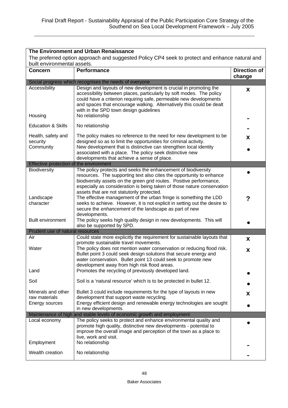| The Environment and Urban Renaissance                                                          |                                                                                                                                                                                                                                                                                                                                       |                               |
|------------------------------------------------------------------------------------------------|---------------------------------------------------------------------------------------------------------------------------------------------------------------------------------------------------------------------------------------------------------------------------------------------------------------------------------------|-------------------------------|
| The preferred option approach and suggested Policy CP4 seek to protect and enhance natural and |                                                                                                                                                                                                                                                                                                                                       |                               |
| built environmental assets.                                                                    |                                                                                                                                                                                                                                                                                                                                       |                               |
| <b>Concern</b>                                                                                 | <b>Performance</b>                                                                                                                                                                                                                                                                                                                    | <b>Direction of</b><br>change |
|                                                                                                | Social progress which recognises the needs of everyone                                                                                                                                                                                                                                                                                |                               |
| Accessibility                                                                                  | Design and layouts of new development is crucial in promoting the<br>accessibility between places, particularly by soft modes. The policy<br>could have a criterion requiring safe, permeable new developments<br>and spaces that encourage walking. Alternatively this could be dealt<br>with in the SPD town design guidelines      | X                             |
| Housing                                                                                        | No relationship                                                                                                                                                                                                                                                                                                                       |                               |
| <b>Education &amp; Skills</b>                                                                  | No relationship                                                                                                                                                                                                                                                                                                                       |                               |
| Health, safety and<br>security<br>Community                                                    | The policy makes no reference to the need for new development to be<br>designed so as to limit the opportunities for criminal activity.<br>New development that is distinctive can strengthen local identity<br>associated with a place. The policy seek distinctive new<br>developments that achieve a sense of place.               | X                             |
| Effective protection of the environment                                                        |                                                                                                                                                                                                                                                                                                                                       |                               |
| <b>Biodiversity</b>                                                                            | The policy protects and seeks the enhancement of biodiversity<br>resources. The supporting text also cites the opportunity to enhance<br>biodiversity assets on the green grid routes. Positive performance,<br>especially as consideration is being taken of those nature conservation<br>assets that are not statutorily protected. |                               |
| Landscape<br>character                                                                         | The effective management of the urban fringe is something the LDD<br>seeks to achieve. However, it is not explicit in setting out the desire to<br>secure the enhancement of the landscape as part of new<br>developments.                                                                                                            | ?                             |
| <b>Built environment</b>                                                                       | The policy seeks high quality design in new developments. This will<br>also be supported by SPD.                                                                                                                                                                                                                                      |                               |
| Prudent use of natural resources                                                               |                                                                                                                                                                                                                                                                                                                                       |                               |
| Air                                                                                            | Could state more explicitly the requirement for sustainable layouts that                                                                                                                                                                                                                                                              | X                             |
| Water                                                                                          | promote sustainable travel movements.<br>The policy does not mention water conservation or reducing flood risk.<br>Bullet point 3 could seek design solutions that secure energy and<br>water conservation. Bullet point 13 could seek to promote new<br>development away from high risk flood areas.                                 | X                             |
| Land                                                                                           | Promotes the recycling of previously developed land.                                                                                                                                                                                                                                                                                  |                               |
| Soil                                                                                           | Soil is a 'natural resource' which is to be protected in bullet 12.                                                                                                                                                                                                                                                                   |                               |
| Minerals and other<br>raw materials<br>Energy sources                                          | Bullet 3 could include requirements for the type of layouts in new<br>development that support waste recycling.<br>Energy efficient design and renewable energy technologies are sought                                                                                                                                               | X.                            |
|                                                                                                | in new developments.<br>Maintenance of high and stable levels of economic growth and employment                                                                                                                                                                                                                                       |                               |
| Local economy                                                                                  | The policy seeks to protect and enhance environmental quality and<br>promote high quality, distinctive new developments - potential to<br>improve the overall image and perception of the town as a place to<br>live, work and visit.                                                                                                 |                               |
| Employment                                                                                     | No relationship                                                                                                                                                                                                                                                                                                                       |                               |
| Wealth creation                                                                                | No relationship                                                                                                                                                                                                                                                                                                                       |                               |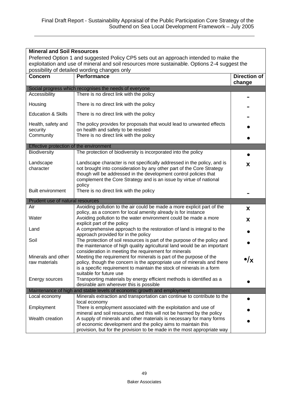|                                                                                              | <b>Mineral and Soil Resources</b>                                                                                                                                                                                                                                                           |                               |  |
|----------------------------------------------------------------------------------------------|---------------------------------------------------------------------------------------------------------------------------------------------------------------------------------------------------------------------------------------------------------------------------------------------|-------------------------------|--|
| Preferred Option 1 and suggested Policy CP5 sets out an approach intended to make the        |                                                                                                                                                                                                                                                                                             |                               |  |
| exploitation and use of mineral and soil resources more sustainable. Options 2-4 suggest the |                                                                                                                                                                                                                                                                                             |                               |  |
|                                                                                              | possibility of detailed wording changes only                                                                                                                                                                                                                                                |                               |  |
| <b>Concern</b>                                                                               | <b>Performance</b>                                                                                                                                                                                                                                                                          | <b>Direction of</b><br>change |  |
|                                                                                              | Social progress which recognises the needs of everyone                                                                                                                                                                                                                                      |                               |  |
| Accessibility                                                                                | There is no direct link with the policy                                                                                                                                                                                                                                                     |                               |  |
| Housing                                                                                      | There is no direct link with the policy                                                                                                                                                                                                                                                     |                               |  |
| <b>Education &amp; Skills</b>                                                                | There is no direct link with the policy                                                                                                                                                                                                                                                     |                               |  |
| Health, safety and<br>security<br>Community                                                  | The policy provides for proposals that would lead to unwanted effects<br>on health and safety to be resisted<br>There is no direct link with the policy                                                                                                                                     |                               |  |
| Effective protection of the environment                                                      |                                                                                                                                                                                                                                                                                             |                               |  |
| Biodiversity                                                                                 | The protection of biodiversity is incorporated into the policy                                                                                                                                                                                                                              |                               |  |
| Landscape<br>character                                                                       | Landscape character is not specifically addressed in the policy, and is<br>not brought into consideration by any other part of the Core Strategy<br>though will be addressed in the development control policies that<br>complement the Core Strategy and is an issue by virtue of national | X                             |  |
| <b>Built environment</b>                                                                     | policy<br>There is no direct link with the policy                                                                                                                                                                                                                                           |                               |  |
| Prudent use of natural resources                                                             |                                                                                                                                                                                                                                                                                             |                               |  |
| Air                                                                                          | Avoiding pollution to the air could be made a more explicit part of the                                                                                                                                                                                                                     | X                             |  |
| Water                                                                                        | policy, as a concern for local amenity already is for instance<br>Avoiding pollution to the water environment could be made a more                                                                                                                                                          | X                             |  |
| Land                                                                                         | explicit part of the policy<br>A comprehensive approach to the restoration of land is integral to the                                                                                                                                                                                       |                               |  |
| Soil                                                                                         | approach provided for in the policy<br>The protection of soil resources is part of the purpose of the policy and<br>the maintenance of high quality agricultural land would be an important<br>consideration in meeting the requirement for minerals                                        |                               |  |
| Minerals and other<br>raw materials                                                          | Meeting the requirement for minerals is part of the purpose of the<br>policy, though the concern is the appropriate use of minerals and there<br>is a specific requirement to maintain the stock of minerals in a form<br>suitable for future use                                           | )/x                           |  |
| Energy sources                                                                               | Transporting materials by energy efficient methods is identified as a<br>desirable aim wherever this is possible                                                                                                                                                                            |                               |  |
|                                                                                              | Maintenance of high and stable levels of economic growth and employment                                                                                                                                                                                                                     |                               |  |
| Local economy                                                                                | Minerals extraction and transportation can continue to contribute to the                                                                                                                                                                                                                    |                               |  |
| Employment                                                                                   | local economy<br>There is employment associated with the exploitation and use of                                                                                                                                                                                                            |                               |  |
| Wealth creation                                                                              | mineral and soil resources, and this will not be harmed by the policy<br>A supply of minerals and other materials is necessary for many forms<br>of economic development and the policy aims to maintain this<br>provision, but for the provision to be made in the most appropriate way    |                               |  |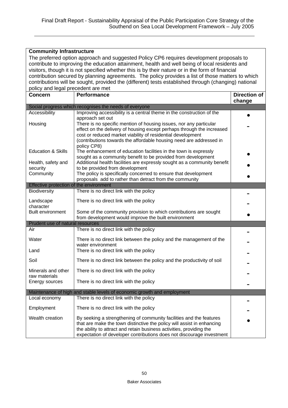| <b>Community Infrastructure</b>         |                                                                                                                                               |                     |
|-----------------------------------------|-----------------------------------------------------------------------------------------------------------------------------------------------|---------------------|
|                                         | The preferred option approach and suggested Policy CP6 requires development proposals to                                                      |                     |
|                                         | contribute to improving the education attainment, health and well being of local residents and                                                |                     |
|                                         | visitors, though it is not specified whether this is by their nature or in the form of financial                                              |                     |
|                                         | contribution secured by planning agreements. The policy provides a list of those matters to which                                             |                     |
|                                         | contributions will be sought, provided the (different) tests established through (changing) national                                          |                     |
| policy and legal precedent are met      |                                                                                                                                               |                     |
| <b>Concern</b>                          | <b>Performance</b>                                                                                                                            | <b>Direction of</b> |
|                                         |                                                                                                                                               | change              |
|                                         | Social progress which recognises the needs of everyone                                                                                        |                     |
| Accessibility                           | Improving accessibility is a central theme in the construction of the                                                                         |                     |
|                                         | approach set out                                                                                                                              |                     |
| Housing                                 | There is no specific mention of housing issues, nor any particular                                                                            |                     |
|                                         | effect on the delivery of housing except perhaps through the increased                                                                        |                     |
|                                         | cost or reduced market viability of residential development<br>(contributions towards the affordable housing need are addressed in            |                     |
|                                         | policy CP8)                                                                                                                                   |                     |
| <b>Education &amp; Skills</b>           | The enhancement of education facilities in the town is expressly                                                                              |                     |
|                                         | sought as a community benefit to be provided from development                                                                                 |                     |
| Health, safety and                      | Additional health facilities are expressly sought as a community benefit                                                                      |                     |
| security                                | to be provided from development                                                                                                               |                     |
| Community                               | The policy is specifically concerned to ensure that development                                                                               |                     |
|                                         | proposals add to rather than detract from the community                                                                                       |                     |
| Effective protection of the environment |                                                                                                                                               |                     |
| <b>Biodiversity</b>                     | There is no direct link with the policy                                                                                                       |                     |
| Landscape                               | There is no direct link with the policy                                                                                                       |                     |
| character                               |                                                                                                                                               |                     |
| <b>Built environment</b>                | Some of the community provision to which contributions are sought                                                                             |                     |
|                                         | from development would improve the built environment                                                                                          |                     |
| Prudent use of natural resources        |                                                                                                                                               |                     |
| Air                                     | There is no direct link with the policy                                                                                                       |                     |
| Water                                   | There is no direct link between the policy and the management of the                                                                          |                     |
|                                         | water environment                                                                                                                             |                     |
| Land                                    | There is no direct link with the policy                                                                                                       |                     |
|                                         |                                                                                                                                               |                     |
| Soil                                    | There is no direct link between the policy and the productivity of soil                                                                       |                     |
| Minerals and other                      | There is no direct link with the policy                                                                                                       |                     |
| raw materials                           |                                                                                                                                               |                     |
| Energy sources                          | There is no direct link with the policy                                                                                                       |                     |
|                                         | Maintenance of high and stable levels of economic growth and employment                                                                       |                     |
| Local economy                           | There is no direct link with the policy                                                                                                       |                     |
| Employment                              | There is no direct link with the policy                                                                                                       |                     |
|                                         |                                                                                                                                               |                     |
| Wealth creation                         | By seeking a strengthening of community facilities and the features<br>that are make the town distinctive the policy will assist in enhancing |                     |
|                                         | the ability to attract and retain business activities, providing the                                                                          |                     |
|                                         | expectation of developer contributions does not discourage investment                                                                         |                     |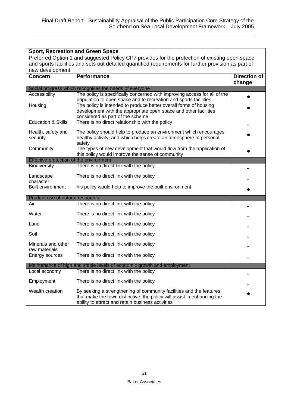| <b>Sport, Recreation and Green Space</b>                                                             |                                                                                                                                                                                                     |                     |  |  |
|------------------------------------------------------------------------------------------------------|-----------------------------------------------------------------------------------------------------------------------------------------------------------------------------------------------------|---------------------|--|--|
| Preferred Option 1 and suggested Policy CP7 provides for the protection of existing open space       |                                                                                                                                                                                                     |                     |  |  |
| and sports facilities and sets out detailed quantified requirements for further provision as part of |                                                                                                                                                                                                     |                     |  |  |
| new development                                                                                      |                                                                                                                                                                                                     |                     |  |  |
| <b>Concern</b>                                                                                       | <b>Performance</b>                                                                                                                                                                                  | <b>Direction of</b> |  |  |
|                                                                                                      | Social progress which recognises the needs of everyone                                                                                                                                              | change              |  |  |
| Accessibility                                                                                        | The policy is specifically concerned with improving access for all of the                                                                                                                           |                     |  |  |
| Housing                                                                                              | population to open space and to recreation and sports facilities<br>The policy is intended to produce better overall forms of housing                                                               |                     |  |  |
| <b>Education &amp; Skills</b>                                                                        | development with the appropriate open space and other facilities<br>considered as part of the scheme<br>There is no direct relationship with the policy                                             |                     |  |  |
| Health, safety and<br>security                                                                       | The policy should help to produce an environment which encourages<br>healthy activity, and which helps create an atmosphere of personal<br>safety                                                   |                     |  |  |
| Community                                                                                            | The types of new development that would flow from the application of<br>this policy would improve the sense of community                                                                            |                     |  |  |
| Effective protection of the environment                                                              |                                                                                                                                                                                                     |                     |  |  |
| Biodiversity                                                                                         | There is no direct link with the policy                                                                                                                                                             |                     |  |  |
| Landscape<br>character                                                                               | There is no direct link with the policy                                                                                                                                                             |                     |  |  |
| <b>Built environment</b>                                                                             | his policy would help to improve the built environment                                                                                                                                              |                     |  |  |
| Prudent use of natural resources                                                                     |                                                                                                                                                                                                     |                     |  |  |
| Air                                                                                                  | There is no direct link with the policy                                                                                                                                                             |                     |  |  |
| Water                                                                                                | There is no direct link with the policy                                                                                                                                                             |                     |  |  |
| Land                                                                                                 | There is no direct link with the policy                                                                                                                                                             |                     |  |  |
| Soil                                                                                                 | There is no direct link with the policy                                                                                                                                                             |                     |  |  |
| Minerals and other<br>raw materials                                                                  | There is no direct link with the policy                                                                                                                                                             |                     |  |  |
| Energy sources                                                                                       | There is no direct link with the policy                                                                                                                                                             |                     |  |  |
|                                                                                                      | Maintenance of high and stable levels of economic growth and employment                                                                                                                             |                     |  |  |
| Local economy                                                                                        | There is no direct link with the policy                                                                                                                                                             |                     |  |  |
| Employment                                                                                           | There is no direct link with the policy                                                                                                                                                             |                     |  |  |
| Wealth creation                                                                                      | By seeking a strengthening of community facilities and the features<br>that make the town distinctive, the policy will assist in enhancing the<br>ability to attract and retain business activities |                     |  |  |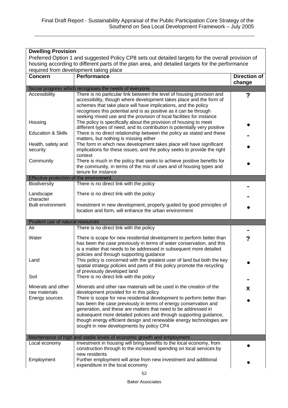| <b>Dwelling Provision</b>                                                                                                                 |                                                                                                                                                                                                                                                                                                                                                              |                               |  |  |
|-------------------------------------------------------------------------------------------------------------------------------------------|--------------------------------------------------------------------------------------------------------------------------------------------------------------------------------------------------------------------------------------------------------------------------------------------------------------------------------------------------------------|-------------------------------|--|--|
| Preferred Option 1 and suggested Policy CP8 sets out detailed targets for the overall provision of                                        |                                                                                                                                                                                                                                                                                                                                                              |                               |  |  |
| housing according to different parts of the plan area, and detailed targets for the performance<br>required from development taking place |                                                                                                                                                                                                                                                                                                                                                              |                               |  |  |
| <b>Concern</b>                                                                                                                            | <b>Performance</b>                                                                                                                                                                                                                                                                                                                                           | <b>Direction of</b><br>change |  |  |
|                                                                                                                                           | Social progress which recognises the needs of everyone                                                                                                                                                                                                                                                                                                       |                               |  |  |
| Accessibility                                                                                                                             | There is no particular link between the level of housing provision and<br>accessibility, though where development takes place and the form of<br>schemes that take place will have implications, and the policy<br>recognises this potential and is as positive as it can be through<br>seeking mixed use and the provision of local facilities for instance | ?                             |  |  |
| Housing                                                                                                                                   | The policy is specifically about the provision of housing to meet<br>different types of need, and its contribution is potentially very positive                                                                                                                                                                                                              |                               |  |  |
| <b>Education &amp; Skills</b>                                                                                                             | There is no direct relationship between the policy as stated and these<br>matters, but nothing is missing either                                                                                                                                                                                                                                             |                               |  |  |
| Health, safety and<br>security                                                                                                            | The form in which new development takes place will have significant<br>implications for these issues, and the policy seeks to provide the right                                                                                                                                                                                                              |                               |  |  |
| Community                                                                                                                                 | context<br>There is much in the policy that seeks to achieve positive benefits for<br>the community, in terms of the mix of uses and of housing types and<br>tenure for instance                                                                                                                                                                             |                               |  |  |
| Effective protection of the environment                                                                                                   |                                                                                                                                                                                                                                                                                                                                                              |                               |  |  |
| Biodiversity                                                                                                                              | There is no direct link with the policy                                                                                                                                                                                                                                                                                                                      |                               |  |  |
| Landscape<br>character                                                                                                                    | There is no direct link with the policy                                                                                                                                                                                                                                                                                                                      |                               |  |  |
| <b>Built environment</b>                                                                                                                  | Investment in new development, properly guided by good principles of<br>location and form, will enhance the urban environment                                                                                                                                                                                                                                |                               |  |  |
| Prudent use of natural resources                                                                                                          |                                                                                                                                                                                                                                                                                                                                                              |                               |  |  |
| Air                                                                                                                                       | There is no direct link with the policy                                                                                                                                                                                                                                                                                                                      |                               |  |  |
| Water                                                                                                                                     | There is scope for new residential development to perform better than<br>has been the case previously in terms of water conservation, and this<br>is a matter that needs to be addressed in subsequent more detailed<br>policies and through supporting guidance                                                                                             | ?                             |  |  |
| Land<br>Soil                                                                                                                              | This policy is concerned with the greatest user of land but both the key<br>spatial strategy policies and parts of this policy promote the recycling<br>of previously developed land<br>There is no direct link with the policy                                                                                                                              |                               |  |  |
|                                                                                                                                           |                                                                                                                                                                                                                                                                                                                                                              |                               |  |  |
| Minerals and other<br>raw materials<br>Energy sources                                                                                     | Minerals and other raw materials will be used in the creation of the<br>development provided for in this policy<br>There is scope for new residential development to perform better than                                                                                                                                                                     | X                             |  |  |
|                                                                                                                                           | has been the case previously in terms of energy conservation and<br>generation, and these are matters that need to be addressed in<br>subsequent more detailed policies and through supporting guidance,<br>though energy efficient design and renewable energy technologies are<br>sought in new developments by policy CP4                                 |                               |  |  |
|                                                                                                                                           | Maintenance of high and stable levels of economic growth and employment                                                                                                                                                                                                                                                                                      |                               |  |  |
| Local economy                                                                                                                             | Investment in housing will bring benefits to the local economy, from<br>construction through to the increased spending on local services by<br>new residents                                                                                                                                                                                                 |                               |  |  |
| Employment                                                                                                                                | Further employment will arise from new investment and additional<br>expenditure in the local economy                                                                                                                                                                                                                                                         |                               |  |  |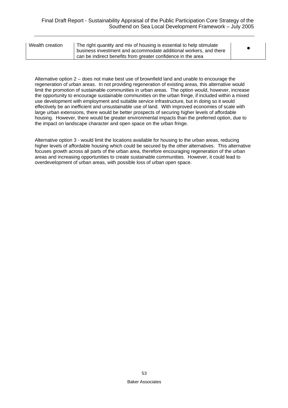| Wealth creation | The right quantity and mix of housing is essential to help stimulate<br>business investment and accommodate additional workers, and there<br>can be indirect benefits from greater confidence in the area |  |
|-----------------|-----------------------------------------------------------------------------------------------------------------------------------------------------------------------------------------------------------|--|
|-----------------|-----------------------------------------------------------------------------------------------------------------------------------------------------------------------------------------------------------|--|

Alternative option 2 – does not make best use of brownfield land and unable to encourage the regeneration of urban areas. In not providing regeneration of existing areas, this alternative would limit the promotion of sustainable communities in urban areas. The option would, however, increase the opportunity to encourage sustainable communities on the urban fringe, if included within a mixed use development with employment and suitable service infrastructure, but in doing so it would effectively be an inefficient and unsustainable use of land. With improved economies of scale with large urban extensions, there would be better prospects of securing higher levels of affordable housing. However, there would be greater environmental impacts than the preferred option, due to the impact on landscape character and open space on the urban fringe.

Alternative option 3 - would limit the locations available for housing to the urban areas, reducing higher levels of affordable housing which could be secured by the other alternatives. This alternative focuses growth across all parts of the urban area, therefore encouraging regeneration of the urban areas and increasing opportunities to create sustainable communities. However, it could lead to overdevelopment of urban areas, with possible loss of urban open space.